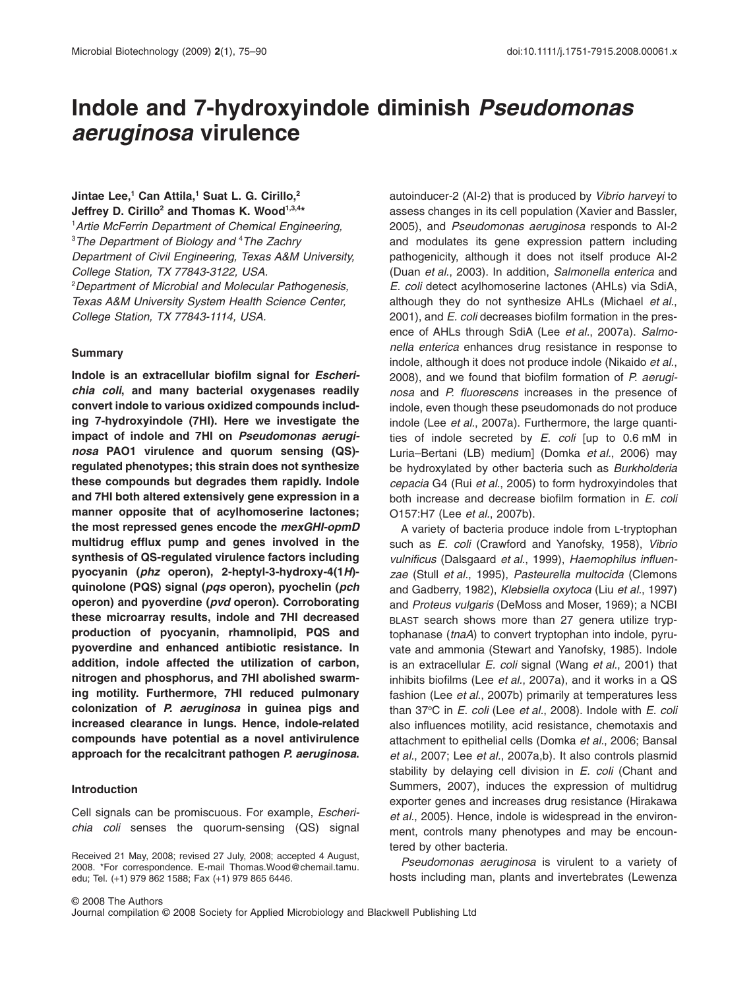# **Indole and 7-hydroxyindole diminish** *Pseudomonas aeruginosa* **virulence**

# **Jintae Lee,1 Can Attila,1 Suat L. G. Cirillo,2** Jeffrey D. Cirillo<sup>2</sup> and Thomas K. Wood<sup>1,3,4\*</sup>

1 *Artie McFerrin Department of Chemical Engineering,* 3 *The Department of Biology and* <sup>4</sup> *The Zachry Department of Civil Engineering, Texas A&M University, College Station, TX 77843-3122, USA.* 2 *Department of Microbial and Molecular Pathogenesis, Texas A&M University System Health Science Center, College Station, TX 77843-1114, USA.*

# **Summary**

**Indole is an extracellular biofilm signal for** *Escherichia coli***, and many bacterial oxygenases readily convert indole to various oxidized compounds including 7-hydroxyindole (7HI). Here we investigate the impact of indole and 7HI on** *Pseudomonas aeruginosa* **PAO1 virulence and quorum sensing (QS) regulated phenotypes; this strain does not synthesize these compounds but degrades them rapidly. Indole and 7HI both altered extensively gene expression in a manner opposite that of acylhomoserine lactones; the most repressed genes encode the** *mexGHI-opmD* **multidrug efflux pump and genes involved in the synthesis of QS-regulated virulence factors including pyocyanin (***phz* **operon), 2-heptyl-3-hydroxy-4(1***H***) quinolone (PQS) signal (***pqs* **operon), pyochelin (***pch* **operon) and pyoverdine (***pvd* **operon). Corroborating these microarray results, indole and 7HI decreased production of pyocyanin, rhamnolipid, PQS and pyoverdine and enhanced antibiotic resistance. In addition, indole affected the utilization of carbon, nitrogen and phosphorus, and 7HI abolished swarming motility. Furthermore, 7HI reduced pulmonary colonization of** *P. aeruginosa* **in guinea pigs and increased clearance in lungs. Hence, indole-related compounds have potential as a novel antivirulence approach for the recalcitrant pathogen** *P. aeruginosa***.**

## **Introduction**

Cell signals can be promiscuous. For example, *Escherichia coli* senses the quorum-sensing (QS) signal autoinducer-2 (AI-2) that is produced by *Vibrio harveyi* to assess changes in its cell population (Xavier and Bassler, 2005), and *Pseudomonas aeruginosa* responds to AI-2 and modulates its gene expression pattern including pathogenicity, although it does not itself produce AI-2 (Duan *et al.*, 2003). In addition, *Salmonella enterica* and *E. coli* detect acylhomoserine lactones (AHLs) via SdiA, although they do not synthesize AHLs (Michael *et al.*, 2001), and *E. coli* decreases biofilm formation in the presence of AHLs through SdiA (Lee *et al.*, 2007a). *Salmonella enterica* enhances drug resistance in response to indole, although it does not produce indole (Nikaido *et al.*, 2008), and we found that biofilm formation of *P. aeruginosa* and *P. fluorescens* increases in the presence of indole, even though these pseudomonads do not produce indole (Lee *et al.*, 2007a). Furthermore, the large quantities of indole secreted by *E. coli* [up to 0.6 mM in Luria–Bertani (LB) medium] (Domka *et al.*, 2006) may be hydroxylated by other bacteria such as *Burkholderia cepacia* G4 (Rui *et al.*, 2005) to form hydroxyindoles that both increase and decrease biofilm formation in *E. coli* O157:H7 (Lee *et al.*, 2007b).

A variety of bacteria produce indole from L-tryptophan such as *E. coli* (Crawford and Yanofsky, 1958), *Vibrio vulnificus* (Dalsgaard *et al.*, 1999), *Haemophilus influenzae* (Stull *et al.*, 1995), *Pasteurella multocida* (Clemons and Gadberry, 1982), *Klebsiella oxytoca* (Liu *et al.*, 1997) and *Proteus vulgaris* (DeMoss and Moser, 1969); a NCBI BLAST search shows more than 27 genera utilize tryptophanase (*tnaA*) to convert tryptophan into indole, pyruvate and ammonia (Stewart and Yanofsky, 1985). Indole is an extracellular *E. coli* signal (Wang *et al.*, 2001) that inhibits biofilms (Lee *et al.*, 2007a), and it works in a QS fashion (Lee *et al.*, 2007b) primarily at temperatures less than 37°C in *E. coli* (Lee *et al.*, 2008). Indole with *E. coli* also influences motility, acid resistance, chemotaxis and attachment to epithelial cells (Domka *et al.*, 2006; Bansal *et al.*, 2007; Lee *et al.*, 2007a,b). It also controls plasmid stability by delaying cell division in *E. coli* (Chant and Summers, 2007), induces the expression of multidrug exporter genes and increases drug resistance (Hirakawa *et al.*, 2005). Hence, indole is widespread in the environment, controls many phenotypes and may be encountered by other bacteria.

*Pseudomonas aeruginosa* is virulent to a variety of hosts including man, plants and invertebrates (Lewenza

Journal compilation © 2008 Society for Applied Microbiology and Blackwell Publishing Ltd

Received 21 May, 2008; revised 27 July, 2008; accepted 4 August, 2008. \*For correspondence. E-mail Thomas.[Wood@chemail.tamu.](mailto:Wood@chemail.tamu) edu; Tel. (+1) 979 862 1588; Fax (+1) 979 865 6446.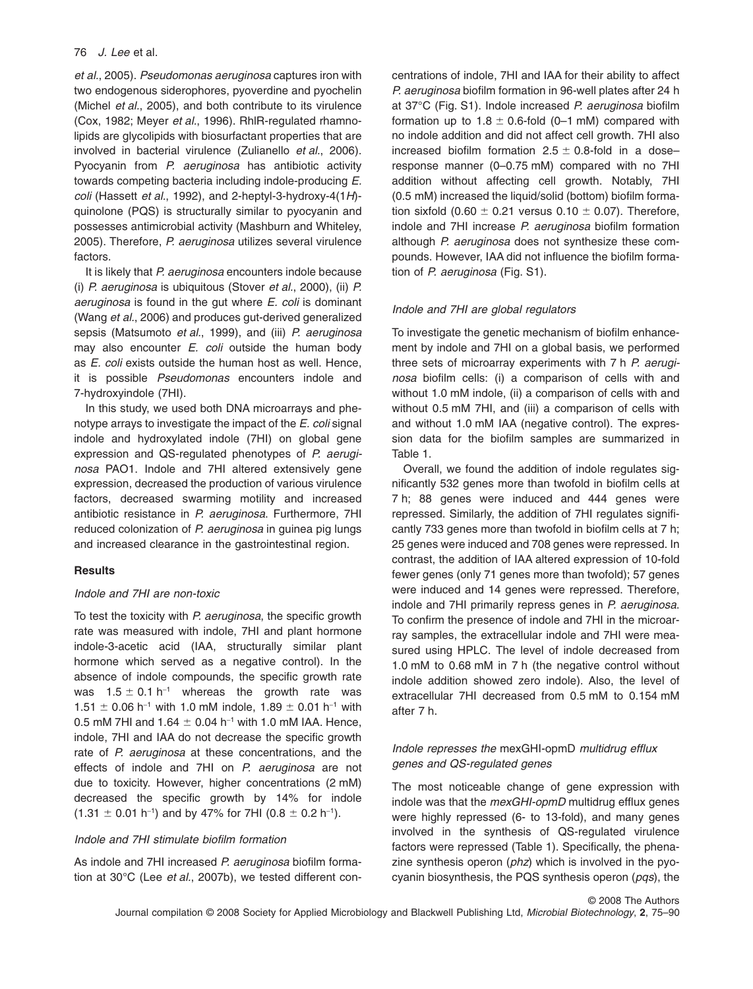*et al.*, 2005). *Pseudomonas aeruginosa* captures iron with two endogenous siderophores, pyoverdine and pyochelin (Michel *et al.*, 2005), and both contribute to its virulence (Cox, 1982; Meyer *et al.*, 1996). RhlR-regulated rhamnolipids are glycolipids with biosurfactant properties that are involved in bacterial virulence (Zulianello *et al.*, 2006). Pyocyanin from *P. aeruginosa* has antibiotic activity towards competing bacteria including indole-producing *E. coli* (Hassett *et al.*, 1992), and 2-heptyl-3-hydroxy-4(1*H*) quinolone (PQS) is structurally similar to pyocyanin and possesses antimicrobial activity (Mashburn and Whiteley, 2005). Therefore, *P. aeruginosa* utilizes several virulence factors.

It is likely that *P. aeruginosa* encounters indole because (i) *P. aeruginosa* is ubiquitous (Stover *et al.*, 2000), (ii) *P. aeruginosa* is found in the gut where *E. coli* is dominant (Wang *et al.*, 2006) and produces gut-derived generalized sepsis (Matsumoto *et al.*, 1999), and (iii) *P. aeruginosa* may also encounter *E. coli* outside the human body as *E. coli* exists outside the human host as well. Hence, it is possible *Pseudomonas* encounters indole and 7-hydroxyindole (7HI).

In this study, we used both DNA microarrays and phenotype arrays to investigate the impact of the *E. coli* signal indole and hydroxylated indole (7HI) on global gene expression and QS-regulated phenotypes of *P. aeruginosa* PAO1. Indole and 7HI altered extensively gene expression, decreased the production of various virulence factors, decreased swarming motility and increased antibiotic resistance in *P. aeruginosa*. Furthermore, 7HI reduced colonization of *P. aeruginosa* in guinea pig lungs and increased clearance in the gastrointestinal region.

# **Results**

## *Indole and 7HI are non-toxic*

To test the toxicity with *P. aeruginosa*, the specific growth rate was measured with indole, 7HI and plant hormone indole-3-acetic acid (IAA, structurally similar plant hormone which served as a negative control). In the absence of indole compounds, the specific growth rate was 1.5  $\pm$  0.1 h<sup>-1</sup> whereas the growth rate was  $1.51 \pm 0.06$  h<sup>-1</sup> with 1.0 mM indole, 1.89  $\pm$  0.01 h<sup>-1</sup> with 0.5 mM 7HI and 1.64  $\pm$  0.04 h<sup>-1</sup> with 1.0 mM IAA. Hence, indole, 7HI and IAA do not decrease the specific growth rate of *P. aeruginosa* at these concentrations, and the effects of indole and 7HI on *P. aeruginosa* are not due to toxicity. However, higher concentrations (2 mM) decreased the specific growth by 14% for indole  $(1.31 \pm 0.01 \text{ h}^{-1})$  and by 47% for 7HI  $(0.8 \pm 0.2 \text{ h}^{-1})$ .

## *Indole and 7HI stimulate biofilm formation*

As indole and 7HI increased *P. aeruginosa* biofilm formation at 30°C (Lee *et al.*, 2007b), we tested different concentrations of indole, 7HI and IAA for their ability to affect *P. aeruginosa* biofilm formation in 96-well plates after 24 h at 37°C (Fig. S1). Indole increased *P. aeruginosa* biofilm formation up to 1.8  $\pm$  0.6-fold (0–1 mM) compared with no indole addition and did not affect cell growth. 7HI also increased biofilm formation 2.5  $\pm$  0.8-fold in a doseresponse manner (0–0.75 mM) compared with no 7HI addition without affecting cell growth. Notably, 7HI (0.5 mM) increased the liquid/solid (bottom) biofilm formation sixfold (0.60  $\pm$  0.21 versus 0.10  $\pm$  0.07). Therefore, indole and 7HI increase *P. aeruginosa* biofilm formation although *P. aeruginosa* does not synthesize these compounds. However, IAA did not influence the biofilm formation of *P. aeruginosa* (Fig. S1).

## *Indole and 7HI are global regulators*

To investigate the genetic mechanism of biofilm enhancement by indole and 7HI on a global basis, we performed three sets of microarray experiments with 7 h *P. aeruginosa* biofilm cells: (i) a comparison of cells with and without 1.0 mM indole, (ii) a comparison of cells with and without 0.5 mM 7HI, and (iii) a comparison of cells with and without 1.0 mM IAA (negative control). The expression data for the biofilm samples are summarized in Table 1.

Overall, we found the addition of indole regulates significantly 532 genes more than twofold in biofilm cells at 7 h; 88 genes were induced and 444 genes were repressed. Similarly, the addition of 7HI regulates significantly 733 genes more than twofold in biofilm cells at 7 h; 25 genes were induced and 708 genes were repressed. In contrast, the addition of IAA altered expression of 10-fold fewer genes (only 71 genes more than twofold); 57 genes were induced and 14 genes were repressed. Therefore, indole and 7HI primarily repress genes in *P. aeruginosa*. To confirm the presence of indole and 7HI in the microarray samples, the extracellular indole and 7HI were measured using HPLC. The level of indole decreased from 1.0 mM to 0.68 mM in 7 h (the negative control without indole addition showed zero indole). Also, the level of extracellular 7HI decreased from 0.5 mM to 0.154 mM after 7 h.

# *Indole represses the* mexGHI-opmD *multidrug efflux genes and QS-regulated genes*

The most noticeable change of gene expression with indole was that the *mexGHI-opmD* multidrug efflux genes were highly repressed (6- to 13-fold), and many genes involved in the synthesis of QS-regulated virulence factors were repressed (Table 1). Specifically, the phenazine synthesis operon (*phz*) which is involved in the pyocyanin biosynthesis, the PQS synthesis operon (*pqs*), the

© 2008 The Authors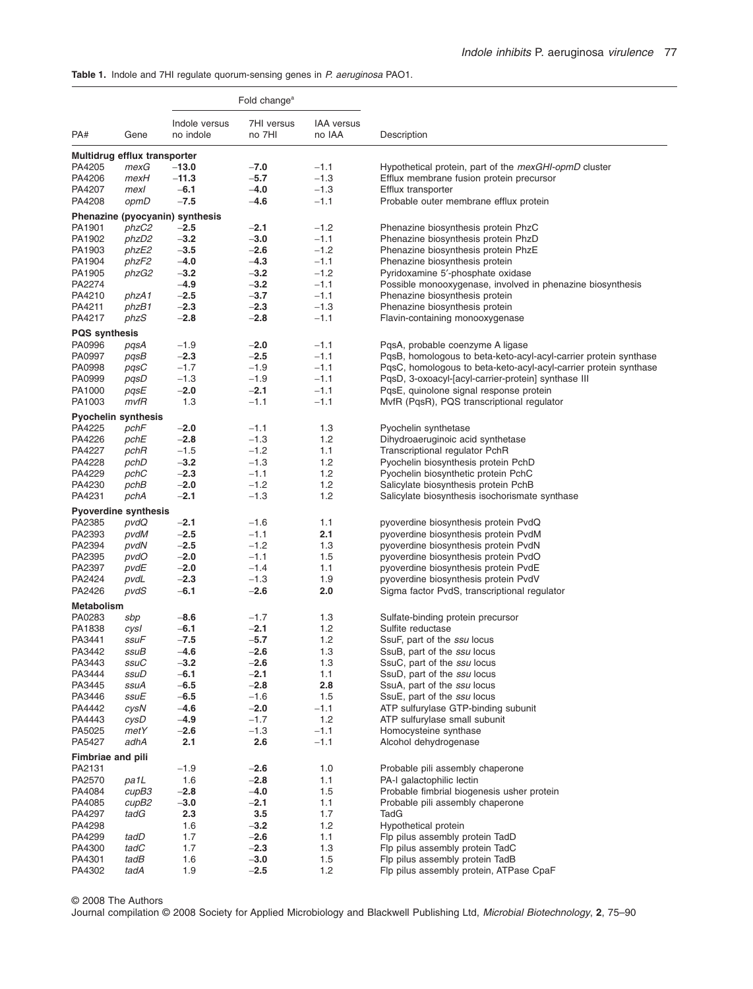**Table 1.** Indole and 7HI regulate quorum-sensing genes in *P. aeruginosa* PAO1.

|                                | Fold change <sup>a</sup> |                                 |            |                   |                                                                   |
|--------------------------------|--------------------------|---------------------------------|------------|-------------------|-------------------------------------------------------------------|
|                                |                          | Indole versus                   | 7HI versus | <b>IAA</b> versus |                                                                   |
| PA#                            | Gene                     | no indole                       | no 7HI     | no IAA            | Description                                                       |
| Multidrug efflux transporter   |                          |                                 |            |                   |                                                                   |
| PA4205                         | mexG                     | $-13.0$                         | $-7.0$     | $-1.1$            | Hypothetical protein, part of the <i>mexGHI-opmD</i> cluster      |
| PA4206                         | mexH                     | $-11.3$                         | $-5.7$     | $-1.3$            | Efflux membrane fusion protein precursor                          |
| PA4207                         | mexl                     | $-6.1$                          | $-4.0$     | $-1.3$            |                                                                   |
|                                |                          |                                 |            |                   | Efflux transporter                                                |
| PA4208                         | opmD                     | $-7.5$                          | $-4.6$     | $-1.1$            | Probable outer membrane efflux protein                            |
|                                |                          | Phenazine (pyocyanin) synthesis |            |                   |                                                                   |
| PA1901                         | phzC2                    | $-2.5$                          | $-2.1$     | $-1.2$            | Phenazine biosynthesis protein PhzC                               |
| PA1902                         | phzD2                    | $-3.2$                          | $-3.0$     | $-1.1$            | Phenazine biosynthesis protein PhzD                               |
| PA1903                         | phzE2                    | $-3.5$                          | $-2.6$     | $-1.2$            | Phenazine biosynthesis protein PhzE                               |
| PA1904                         | phzF2                    | $-4.0$                          | $-4.3$     | $-1.1$            | Phenazine biosynthesis protein                                    |
| PA1905                         | phzG2                    | $-3.2$                          | $-3.2$     | $-1.2$            | Pyridoxamine 5'-phosphate oxidase                                 |
| PA2274                         |                          | $-4.9$                          | $-3.2$     | $-1.1$            | Possible monooxygenase, involved in phenazine biosynthesis        |
| PA4210                         | phzA1                    | $-2.5$                          | $-3.7$     | $-1.1$            | Phenazine biosynthesis protein                                    |
| PA4211                         | phzB1                    | $-2.3$                          | $-2.3$     | $-1.3$            | Phenazine biosynthesis protein                                    |
| PA4217                         | phzS                     | $-2.8$                          | $-2.8$     | $-1.1$            | Flavin-containing monooxygenase                                   |
|                                |                          |                                 |            |                   |                                                                   |
| <b>PQS</b> synthesis<br>PA0996 |                          |                                 | $-2.0$     | $-1.1$            | PqsA, probable coenzyme A ligase                                  |
|                                | pqsA                     | $-1.9$                          |            |                   |                                                                   |
| PA0997                         | pqsB                     | $-2.3$                          | $-2.5$     | $-1.1$            | PqsB, homologous to beta-keto-acyl-acyl-carrier protein synthase  |
| PA0998                         | pqsC                     | $-1.7$                          | $-1.9$     | $-1.1$            | PqsC, homologous to beta-keto-acyl-acyl-carrier protein synthase  |
| PA0999                         | pqsD                     | $-1.3$                          | $-1.9$     | $-1.1$            | PqsD, 3-oxoacyl-[acyl-carrier-protein] synthase III               |
| PA1000                         | pqsE                     | $-2.0$                          | $-2.1$     | $-1.1$            | PqsE, quinolone signal response protein                           |
| PA1003                         | mvfR                     | 1.3                             | $-1.1$     | $-1.1$            | MvfR (PqsR), PQS transcriptional regulator                        |
| <b>Pyochelin synthesis</b>     |                          |                                 |            |                   |                                                                   |
| PA4225                         | pchF                     | $-2.0$                          | $-1.1$     | 1.3               | Pyochelin synthetase                                              |
| PA4226                         | pchE                     | $-2.8$                          | $-1.3$     | 1.2               | Dihydroaeruginoic acid synthetase                                 |
| PA4227                         | pchR                     | $-1.5$                          | $-1.2$     | 1.1               | Transcriptional regulator PchR                                    |
| PA4228                         | pchD                     | $-3.2$                          | $-1.3$     | 1.2               | Pyochelin biosynthesis protein PchD                               |
| PA4229                         | pchC                     | $-2.3$                          | $-1.1$     | 1.2               | Pyochelin biosynthetic protein PchC                               |
| PA4230                         | pchB                     | $-2.0$                          | $-1.2$     | 1.2               | Salicylate biosynthesis protein PchB                              |
| PA4231                         | pchA                     | $-2.1$                          | $-1.3$     | 1.2               | Salicylate biosynthesis isochorismate synthase                    |
|                                |                          |                                 |            |                   |                                                                   |
| <b>Pyoverdine synthesis</b>    |                          |                                 |            |                   |                                                                   |
| PA2385                         | pvdQ                     | $-2.1$                          | $-1.6$     | 1.1               | pyoverdine biosynthesis protein PvdQ                              |
| PA2393                         | pvdM                     | $-2.5$                          | $-1.1$     | 2.1               | pyoverdine biosynthesis protein PvdM                              |
| PA2394                         | pvdN                     | $-2.5$                          | $-1.2$     | 1.3               | pyoverdine biosynthesis protein PvdN                              |
| PA2395                         | pvdO                     | $-2.0$                          | $-1.1$     | 1.5               | pyoverdine biosynthesis protein PvdO                              |
| PA2397                         | pvdE                     | $-2.0$                          | $-1.4$     | 1.1               | pyoverdine biosynthesis protein PvdE                              |
| PA2424                         | pvdL                     | $-2.3$                          | $-1.3$     | 1.9               | pyoverdine biosynthesis protein PvdV                              |
| PA2426                         | pvdS                     | $-6.1$                          | $-2.6$     | 2.0               | Sigma factor PvdS, transcriptional regulator                      |
| Metabolism                     |                          |                                 |            |                   |                                                                   |
| PA0283                         | sbp                      | $-8.6$                          | $-1.7$     | 1.3               | Sulfate-binding protein precursor                                 |
| PA1838                         | cysl                     | $-6.1$                          | $-2.1$     | 1.2               | Sulfite reductase                                                 |
| PA3441                         | ssuF                     | $-7.5$                          | $-5.7$     | 1.2               | SsuF, part of the <i>ssu</i> locus                                |
| PA3442                         | ssuB                     | $-4.6$                          | $-2.6$     | 1.3               | SsuB, part of the ssu locus                                       |
|                                |                          |                                 |            |                   |                                                                   |
| PA3443                         | ssuC                     | $-3.2$                          | $-2.6$     | 1.3               | SsuC, part of the <i>ssu</i> locus<br>SsuD, part of the ssu locus |
| PA3444                         | ssuD                     | $-6.1$                          | $-2.1$     | 1.1               |                                                                   |
| PA3445                         | ssuA                     | $-6.5$                          | $-2.8$     | 2.8               | SsuA, part of the ssu locus                                       |
| PA3446                         | ssuE                     | $-6.5$                          | $-1.6$     | 1.5               | SsuE, part of the ssu locus                                       |
| PA4442                         | cysN                     | $-4.6$                          | $-2.0$     | $-1.1$            | ATP sulfurylase GTP-binding subunit                               |
| PA4443                         | cysD                     | $-4.9$                          | $-1.7$     | $1.2$             | ATP sulfurylase small subunit                                     |
| PA5025                         | metY                     | $-2.6$                          | $-1.3$     | $-1.1$            | Homocysteine synthase                                             |
| PA5427                         | adhA                     | 2.1                             | 2.6        | $-1.1$            | Alcohol dehydrogenase                                             |
| <b>Fimbriae and pili</b>       |                          |                                 |            |                   |                                                                   |
| PA2131                         |                          | $-1.9$                          | $-2.6$     | 1.0               | Probable pili assembly chaperone                                  |
| PA2570                         | pa1L                     | 1.6                             | $-2.8$     | 1.1               | PA-I galactophilic lectin                                         |
| PA4084                         | cupB3                    | $-2.8$                          | $-4.0$     | 1.5               | Probable fimbrial biogenesis usher protein                        |
| PA4085                         | cupB2                    | $-3.0$                          | $-2.1$     | 1.1               | Probable pili assembly chaperone                                  |
| PA4297                         | tadG                     | 2.3                             | 3.5        | 1.7               | TadG                                                              |
| PA4298                         |                          | 1.6                             | $-3.2$     | 1.2               | Hypothetical protein                                              |
| PA4299                         | tadD                     | 1.7                             | $-2.6$     | 1.1               | Flp pilus assembly protein TadD                                   |
| PA4300                         | tadC                     | 1.7                             | $-2.3$     | 1.3               | Flp pilus assembly protein TadC                                   |
| PA4301                         | tadB                     | 1.6                             | $-3.0$     | 1.5               | Flp pilus assembly protein TadB                                   |
|                                |                          |                                 |            |                   |                                                                   |
| PA4302                         | tadA                     | 1.9                             | $-2.5$     | $1.2$             | Flp pilus assembly protein, ATPase CpaF                           |

© 2008 The Authors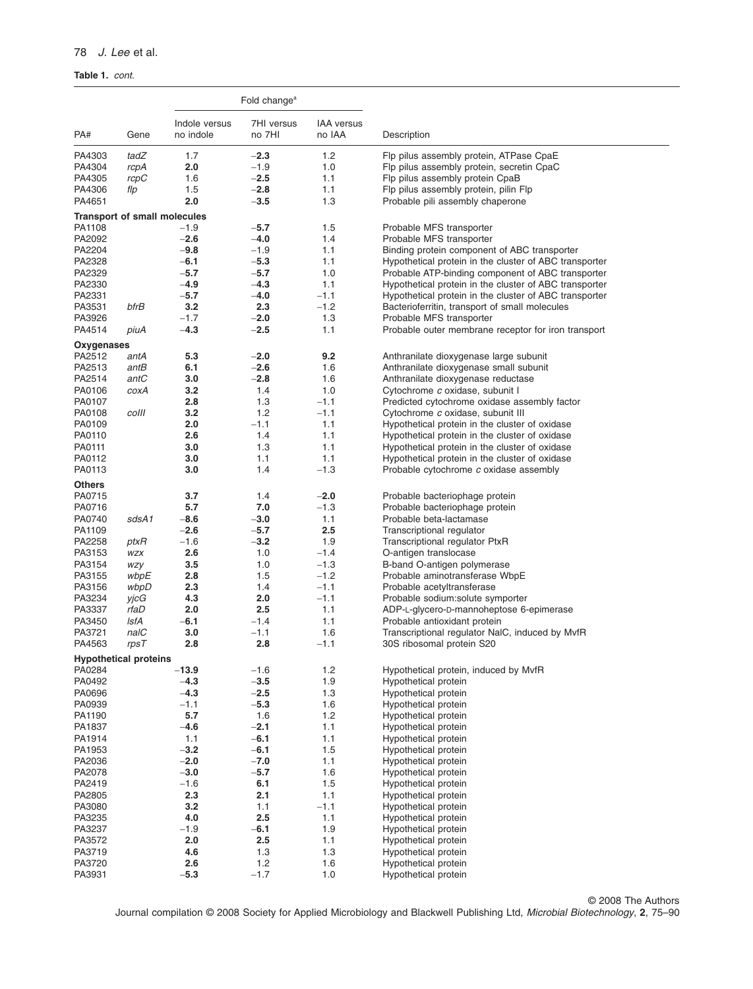# **Table 1.** *cont.*

|                  |                                     |                            | Fold change <sup>a</sup> |                             |                                                                              |
|------------------|-------------------------------------|----------------------------|--------------------------|-----------------------------|------------------------------------------------------------------------------|
| PA#              | Gene                                | Indole versus<br>no indole | 7HI versus<br>no 7HI     | <b>IAA</b> versus<br>no IAA | Description                                                                  |
| PA4303           | tadZ                                | 1.7                        | $-2.3$                   | 1.2                         | Flp pilus assembly protein, ATPase CpaE                                      |
| PA4304           | rcpA                                | 2.0                        | $-1.9$                   | 1.0                         | Flp pilus assembly protein, secretin CpaC                                    |
| PA4305           | rcpC                                | 1.6                        | $-2.5$                   | 1.1                         | Flp pilus assembly protein CpaB                                              |
| PA4306           | flp                                 | 1.5                        | $-2.8$                   | 1.1                         | Flp pilus assembly protein, pilin Flp                                        |
| PA4651           |                                     | 2.0                        | $-3.5$                   | 1.3                         | Probable pili assembly chaperone                                             |
|                  | <b>Transport of small molecules</b> |                            |                          |                             |                                                                              |
| PA1108           |                                     | $-1.9$                     | $-5.7$                   | 1.5                         | Probable MFS transporter                                                     |
| PA2092           |                                     | $-2.6$                     | $-4.0$                   | 1.4                         | Probable MFS transporter                                                     |
| PA2204           |                                     | $-9.8$                     | $-1.9$                   | 1.1                         | Binding protein component of ABC transporter                                 |
| PA2328           |                                     | $-6.1$                     | $-5.3$                   | 1.1                         | Hypothetical protein in the cluster of ABC transporter                       |
| PA2329           |                                     | $-5.7$                     | $-5.7$                   | 1.0                         | Probable ATP-binding component of ABC transporter                            |
| PA2330           |                                     | $-4.9$                     | $-4.3$                   | 1.1                         | Hypothetical protein in the cluster of ABC transporter                       |
| PA2331           |                                     | $-5.7$                     | $-4.0$                   | $-1.1$                      | Hypothetical protein in the cluster of ABC transporter                       |
| PA3531           | bfrB                                | 3.2                        | 2.3                      | $-1.2$                      | Bacterioferritin, transport of small molecules                               |
| PA3926           |                                     | $-1.7$                     | $-2.0$                   | 1.3                         | Probable MFS transporter                                                     |
| PA4514           | piuA                                | $-4.3$                     | $-2.5$                   | 1.1                         | Probable outer membrane receptor for iron transport                          |
| Oxygenases       |                                     |                            |                          |                             |                                                                              |
| PA2512<br>PA2513 | antA                                | 5.3                        | $-2.0$<br>$-2.6$         | 9.2<br>1.6                  | Anthranilate dioxygenase large subunit                                       |
| PA2514           | antB<br>antC                        | 6.1                        | $-2.8$                   | 1.6                         | Anthranilate dioxygenase small subunit<br>Anthranilate dioxygenase reductase |
| PA0106           | coxA                                | 3.0<br>3.2                 | 1.4                      | 1.0                         | Cytochrome c oxidase, subunit I                                              |
| PA0107           |                                     | 2.8                        | 1.3                      | $-1.1$                      | Predicted cytochrome oxidase assembly factor                                 |
| PA0108           | colll                               | 3.2                        | 1.2                      | $-1.1$                      | Cytochrome c oxidase, subunit III                                            |
| PA0109           |                                     | 2.0                        | $-1.1$                   | 1.1                         | Hypothetical protein in the cluster of oxidase                               |
| PA0110           |                                     | 2.6                        | 1.4                      | 1.1                         | Hypothetical protein in the cluster of oxidase                               |
| PA0111           |                                     | 3.0                        | 1.3                      | 1.1                         | Hypothetical protein in the cluster of oxidase                               |
| PA0112           |                                     | 3.0                        | 1.1                      | 1.1                         | Hypothetical protein in the cluster of oxidase                               |
| PA0113           |                                     | 3.0                        | 1.4                      | $-1.3$                      | Probable cytochrome c oxidase assembly                                       |
| <b>Others</b>    |                                     |                            |                          |                             |                                                                              |
| PA0715           |                                     | 3.7                        | 1.4                      | $-2.0$                      | Probable bacteriophage protein                                               |
| PA0716           |                                     | 5.7                        | 7.0                      | $-1.3$                      | Probable bacteriophage protein                                               |
| PA0740           | sdsA1                               | $-8.6$                     | $-3.0$                   | 1.1                         | Probable beta-lactamase                                                      |
| PA1109           |                                     | $-2.6$                     | $-5.7$                   | 2.5                         | Transcriptional regulator                                                    |
| PA2258           | ptxR                                | $-1.6$                     | $-3.2$                   | 1.9                         | Transcriptional regulator PtxR                                               |
| PA3153           | WZX                                 | 2.6                        | 1.0                      | $-1.4$                      | O-antigen translocase                                                        |
| PA3154           | <b>WZY</b>                          | 3.5                        | 1.0                      | $-1.3$                      | B-band O-antigen polymerase                                                  |
| PA3155           | wbpE                                | 2.8                        | 1.5<br>1.4               | $-1.2$<br>$-1.1$            | Probable aminotransferase WbpE                                               |
| PA3156<br>PA3234 | wbpD<br>yjcG                        | 2.3<br>4.3                 | 2.0                      | $-1.1$                      | Probable acetyltransferase<br>Probable sodium: solute symporter              |
| PA3337           | rfaD                                | 2.0                        | 2.5                      | 1.1                         | ADP-L-glycero-D-mannoheptose 6-epimerase                                     |
| PA3450           | lsfA                                | $-6.1$                     | $-1.4$                   | 1.1                         | Probable antioxidant protein                                                 |
| PA3721           | nalC                                | 3.0                        | $-1.1$                   | 1.6                         | Transcriptional regulator NaIC, induced by MvfR                              |
| PA4563           | rpsT                                | 2.8                        | 2.8                      | $-1.1$                      | 30S ribosomal protein S20                                                    |
|                  | <b>Hypothetical proteins</b>        |                            |                          |                             |                                                                              |
| PA0284           |                                     | $-13.9$                    | $-1.6$                   | $1.2$                       | Hypothetical protein, induced by MvfR                                        |
| PA0492           |                                     | $-4.3$                     | $-3.5$                   | 1.9                         | Hypothetical protein                                                         |
| PA0696           |                                     | $-4.3$                     | $-2.5$                   | $1.3$                       | Hypothetical protein                                                         |
| PA0939           |                                     | $-1.1$                     | $-5.3$                   | 1.6                         | Hypothetical protein                                                         |
| PA1190           |                                     | 5.7                        | 1.6                      | 1.2                         | Hypothetical protein                                                         |
| PA1837           |                                     | $-4.6$                     | $-2.1$                   | 1.1                         | Hypothetical protein                                                         |
| PA1914           |                                     | 1.1                        | $-6.1$                   | 1.1                         | Hypothetical protein                                                         |
| PA1953           |                                     | $-3.2$                     | $-6.1$                   | 1.5                         | Hypothetical protein                                                         |
| PA2036           |                                     | $-2.0$                     | $-7.0$<br>$-5.7$         | 1.1                         | Hypothetical protein                                                         |
| PA2078<br>PA2419 |                                     | $-3.0$<br>$-1.6$           | 6.1                      | 1.6<br>1.5                  | Hypothetical protein<br>Hypothetical protein                                 |
| PA2805           |                                     | 2.3                        | 2.1                      | 1.1                         | Hypothetical protein                                                         |
| PA3080           |                                     | 3.2                        | 1.1                      | $-1.1$                      | Hypothetical protein                                                         |
| PA3235           |                                     | 4.0                        | 2.5                      | 1.1                         | Hypothetical protein                                                         |
| PA3237           |                                     | $-1.9$                     | $-6.1$                   | 1.9                         | Hypothetical protein                                                         |
| PA3572           |                                     | 2.0                        | 2.5                      | 1.1                         | Hypothetical protein                                                         |
| PA3719           |                                     | 4.6                        | 1.3                      | $1.3$                       | Hypothetical protein                                                         |
| PA3720           |                                     | 2.6                        | 1.2                      | 1.6                         | Hypothetical protein                                                         |
| PA3931           |                                     | $-5.3$                     | $-1.7$                   | $1.0$                       | Hypothetical protein                                                         |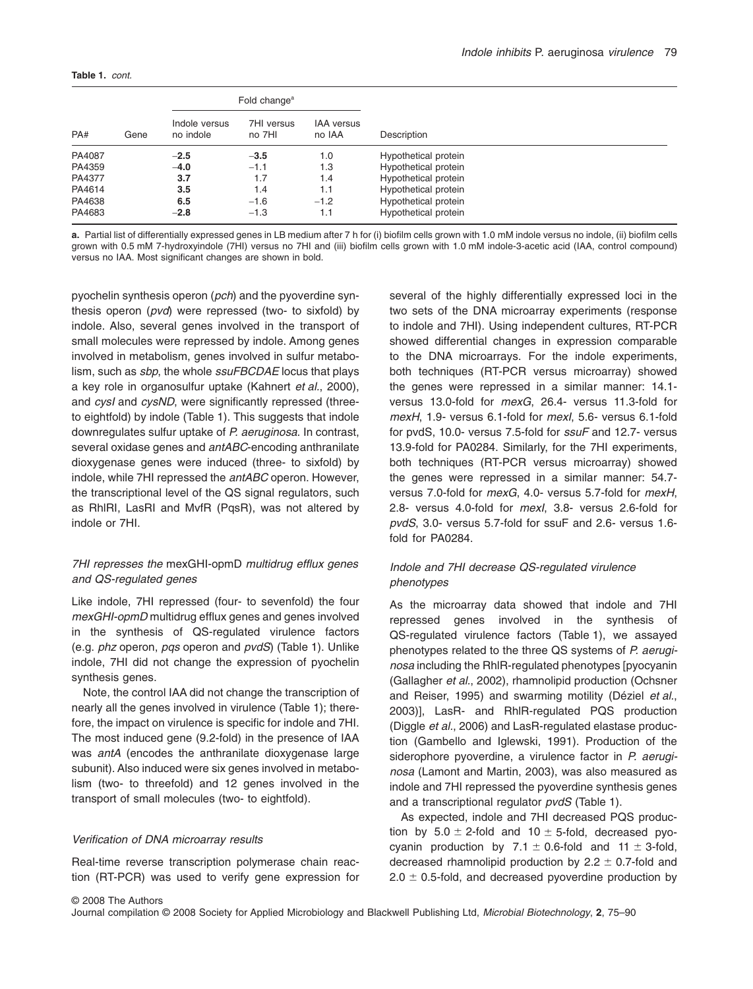#### **Table 1.** *cont.*

| PA#    | Gene |                            | Fold change <sup>a</sup> |                             | Description          |
|--------|------|----------------------------|--------------------------|-----------------------------|----------------------|
|        |      | Indole versus<br>no indole | 7HI versus<br>no 7HI     | <b>IAA</b> versus<br>no IAA |                      |
| PA4087 |      | $-2.5$                     | $-3.5$                   | 1.0                         | Hypothetical protein |
| PA4359 |      | $-4.0$                     | $-1.1$                   | 1.3                         | Hypothetical protein |
| PA4377 |      | 3.7                        | 1.7                      | 1.4                         | Hypothetical protein |
| PA4614 |      | 3.5                        | 1.4                      | 1.1                         | Hypothetical protein |
| PA4638 |      | 6.5                        | $-1.6$                   | $-1.2$                      | Hypothetical protein |
| PA4683 |      | $-2.8$                     | $-1.3$                   | 1.1                         | Hypothetical protein |

**a.** Partial list of differentially expressed genes in LB medium after 7 h for (i) biofilm cells grown with 1.0 mM indole versus no indole, (ii) biofilm cells grown with 0.5 mM 7-hydroxyindole (7HI) versus no 7HI and (iii) biofilm cells grown with 1.0 mM indole-3-acetic acid (IAA, control compound) versus no IAA. Most significant changes are shown in bold.

pyochelin synthesis operon (*pch*) and the pyoverdine synthesis operon (*pvd*) were repressed (two- to sixfold) by indole. Also, several genes involved in the transport of small molecules were repressed by indole. Among genes involved in metabolism, genes involved in sulfur metabolism, such as *sbp*, the whole *ssuFBCDAE* locus that plays a key role in organosulfur uptake (Kahnert *et al.*, 2000), and *cysI* and *cysND*, were significantly repressed (threeto eightfold) by indole (Table 1). This suggests that indole downregulates sulfur uptake of *P. aeruginosa*. In contrast, several oxidase genes and *antABC*-encoding anthranilate dioxygenase genes were induced (three- to sixfold) by indole, while 7HI repressed the *antABC* operon. However, the transcriptional level of the QS signal regulators, such as RhlRI, LasRI and MvfR (PqsR), was not altered by indole or 7HI.

# *7HI represses the* mexGHI-opmD *multidrug efflux genes and QS-regulated genes*

Like indole, 7HI repressed (four- to sevenfold) the four *mexGHI-opmD* multidrug efflux genes and genes involved in the synthesis of QS-regulated virulence factors (e.g. *phz* operon, *pqs* operon and *pvdS*) (Table 1). Unlike indole, 7HI did not change the expression of pyochelin synthesis genes.

Note, the control IAA did not change the transcription of nearly all the genes involved in virulence (Table 1); therefore, the impact on virulence is specific for indole and 7HI. The most induced gene (9.2-fold) in the presence of IAA was *antA* (encodes the anthranilate dioxygenase large subunit). Also induced were six genes involved in metabolism (two- to threefold) and 12 genes involved in the transport of small molecules (two- to eightfold).

#### *Verification of DNA microarray results*

Real-time reverse transcription polymerase chain reaction (RT-PCR) was used to verify gene expression for several of the highly differentially expressed loci in the two sets of the DNA microarray experiments (response to indole and 7HI). Using independent cultures, RT-PCR showed differential changes in expression comparable to the DNA microarrays. For the indole experiments, both techniques (RT-PCR versus microarray) showed the genes were repressed in a similar manner: 14.1 versus 13.0-fold for *mexG*, 26.4- versus 11.3-fold for *mexH*, 1.9- versus 6.1-fold for *mexI*, 5.6- versus 6.1-fold for pvdS, 10.0- versus 7.5-fold for *ssuF* and 12.7- versus 13.9-fold for PA0284. Similarly, for the 7HI experiments, both techniques (RT-PCR versus microarray) showed the genes were repressed in a similar manner: 54.7 versus 7.0-fold for *mexG*, 4.0- versus 5.7-fold for *mexH*, 2.8- versus 4.0-fold for *mexI*, 3.8- versus 2.6-fold for *pvdS*, 3.0- versus 5.7-fold for ssuF and 2.6- versus 1.6 fold for PA0284.

# *Indole and 7HI decrease QS-regulated virulence phenotypes*

As the microarray data showed that indole and 7HI repressed genes involved in the synthesis of QS-regulated virulence factors (Table 1), we assayed phenotypes related to the three QS systems of *P. aeruginosa* including the RhlR-regulated phenotypes [pyocyanin (Gallagher *et al.*, 2002), rhamnolipid production (Ochsner and Reiser, 1995) and swarming motility (Déziel *et al.*, 2003)], LasR- and RhlR-regulated PQS production (Diggle *et al.*, 2006) and LasR-regulated elastase production (Gambello and Iglewski, 1991). Production of the siderophore pyoverdine, a virulence factor in *P. aeruginosa* (Lamont and Martin, 2003), was also measured as indole and 7HI repressed the pyoverdine synthesis genes and a transcriptional regulator *pvdS* (Table 1).

As expected, indole and 7HI decreased PQS production by  $5.0 \pm 2$ -fold and 10  $\pm$  5-fold, decreased pyocyanin production by 7.1  $\pm$  0.6-fold and 11  $\pm$  3-fold, decreased rhamnolipid production by  $2.2 \pm 0.7$ -fold and  $2.0 \pm 0.5$ -fold, and decreased pyoverdine production by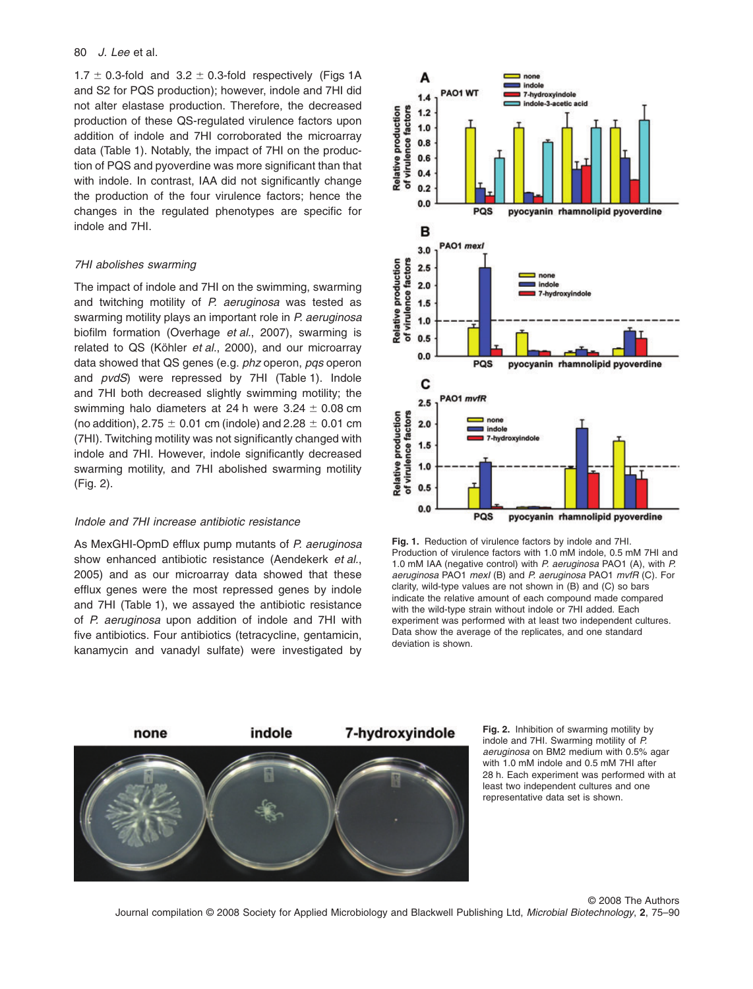$1.7 \pm 0.3$ -fold and  $3.2 \pm 0.3$ -fold respectively (Figs 1A and S2 for PQS production); however, indole and 7HI did not alter elastase production. Therefore, the decreased production of these QS-regulated virulence factors upon addition of indole and 7HI corroborated the microarray data (Table 1). Notably, the impact of 7HI on the production of PQS and pyoverdine was more significant than that with indole. In contrast, IAA did not significantly change the production of the four virulence factors; hence the changes in the regulated phenotypes are specific for indole and 7HI.

## *7HI abolishes swarming*

The impact of indole and 7HI on the swimming, swarming and twitching motility of *P. aeruginosa* was tested as swarming motility plays an important role in *P. aeruginosa* biofilm formation (Overhage *et al.*, 2007), swarming is related to QS (Köhler *et al.*, 2000), and our microarray data showed that QS genes (e.g. *phz* operon, *pqs* operon and *pvdS*) were repressed by 7HI (Table 1). Indole and 7HI both decreased slightly swimming motility; the swimming halo diameters at 24 h were 3.24  $\pm$  0.08 cm (no addition), 2.75  $\pm$  0.01 cm (indole) and 2.28  $\pm$  0.01 cm (7HI). Twitching motility was not significantly changed with indole and 7HI. However, indole significantly decreased swarming motility, and 7HI abolished swarming motility (Fig. 2).

# *Indole and 7HI increase antibiotic resistance*

As MexGHI-OpmD efflux pump mutants of *P. aeruginosa* show enhanced antibiotic resistance (Aendekerk *et al.*, 2005) and as our microarray data showed that these efflux genes were the most repressed genes by indole and 7HI (Table 1), we assayed the antibiotic resistance of *P. aeruginosa* upon addition of indole and 7HI with five antibiotics. Four antibiotics (tetracycline, gentamicin, kanamycin and vanadyl sulfate) were investigated by



**Fig. 1.** Reduction of virulence factors by indole and 7HI. Production of virulence factors with 1.0 mM indole, 0.5 mM 7HI and 1.0 mM IAA (negative control) with *P. aeruginosa* PAO1 (A), with *P. aeruginosa* PAO1 *mexI* (B) and *P. aeruginosa* PAO1 *mvfR* (C). For clarity, wild-type values are not shown in (B) and (C) so bars indicate the relative amount of each compound made compared with the wild-type strain without indole or 7HI added. Each experiment was performed with at least two independent cultures. Data show the average of the replicates, and one standard deviation is shown.



**Fig. 2.** Inhibition of swarming motility by indole and 7HI. Swarming motility of *P. aeruginosa* on BM2 medium with 0.5% agar with 1.0 mM indole and 0.5 mM 7HI after 28 h. Each experiment was performed with at least two independent cultures and one representative data set is shown.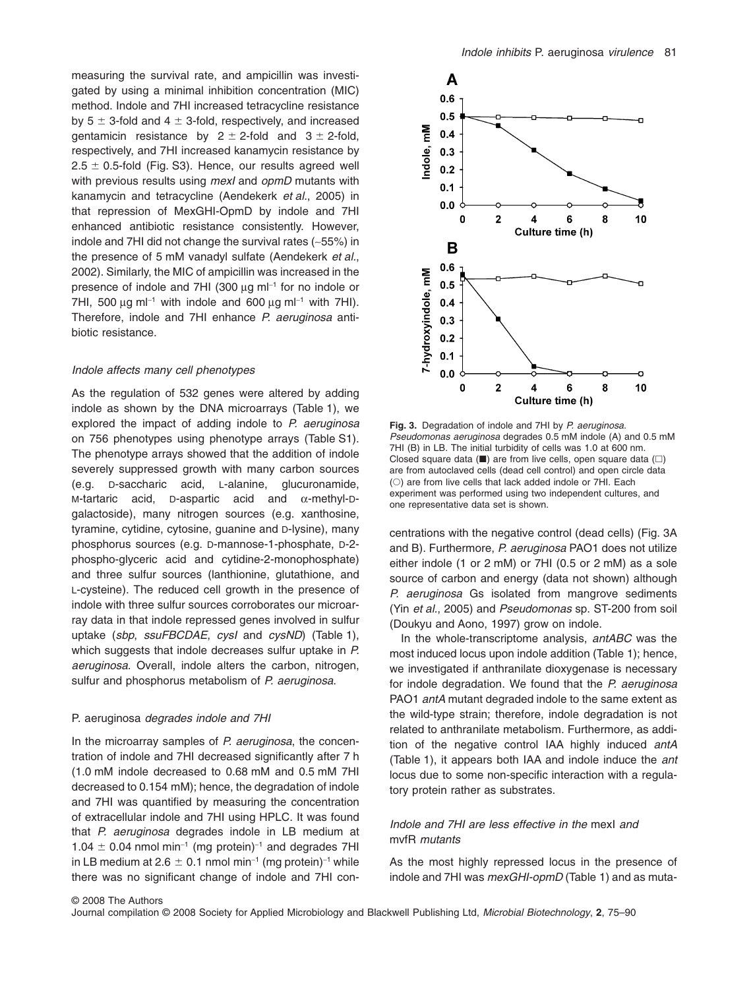measuring the survival rate, and ampicillin was investigated by using a minimal inhibition concentration (MIC) method. Indole and 7HI increased tetracycline resistance by 5  $\pm$  3-fold and 4  $\pm$  3-fold, respectively, and increased gentamicin resistance by 2  $\pm$  2-fold and 3  $\pm$  2-fold, respectively, and 7HI increased kanamycin resistance by 2.5  $\pm$  0.5-fold (Fig. S3). Hence, our results agreed well with previous results using *mexI* and *opmD* mutants with kanamycin and tetracycline (Aendekerk *et al.*, 2005) in that repression of MexGHI-OpmD by indole and 7HI enhanced antibiotic resistance consistently. However, indole and 7HI did not change the survival rates (~55%) in the presence of 5 mM vanadyl sulfate (Aendekerk *et al.*, 2002). Similarly, the MIC of ampicillin was increased in the presence of indole and 7HI (300  $\mu$ g m $\vert$ <sup>-1</sup> for no indole or 7HI, 500  $\mu$ g ml<sup>-1</sup> with indole and 600  $\mu$ g ml<sup>-1</sup> with 7HI). Therefore, indole and 7HI enhance *P. aeruginosa* antibiotic resistance.

# *Indole affects many cell phenotypes*

As the regulation of 532 genes were altered by adding indole as shown by the DNA microarrays (Table 1), we explored the impact of adding indole to *P. aeruginosa* on 756 phenotypes using phenotype arrays (Table S1). The phenotype arrays showed that the addition of indole severely suppressed growth with many carbon sources (e.g. D-saccharic acid, L-alanine, glucuronamide, M-tartaric acid, D-aspartic acid and  $\alpha$ -methyl-Dgalactoside), many nitrogen sources (e.g. xanthosine, tyramine, cytidine, cytosine, guanine and D-lysine), many phosphorus sources (e.g. D-mannose-1-phosphate, D-2 phospho-glyceric acid and cytidine-2-monophosphate) and three sulfur sources (lanthionine, glutathione, and L-cysteine). The reduced cell growth in the presence of indole with three sulfur sources corroborates our microarray data in that indole repressed genes involved in sulfur uptake (*sbp*, *ssuFBCDAE*, *cysI* and *cysND*) (Table 1), which suggests that indole decreases sulfur uptake in *P. aeruginosa*. Overall, indole alters the carbon, nitrogen, sulfur and phosphorus metabolism of *P. aeruginosa*.

## P. aeruginosa *degrades indole and 7HI*

In the microarray samples of *P. aeruginosa*, the concentration of indole and 7HI decreased significantly after 7 h (1.0 mM indole decreased to 0.68 mM and 0.5 mM 7HI decreased to 0.154 mM); hence, the degradation of indole and 7HI was quantified by measuring the concentration of extracellular indole and 7HI using HPLC. It was found that *P. aeruginosa* degrades indole in LB medium at  $1.04 \pm 0.04$  nmol min<sup>-1</sup> (mg protein)<sup>-1</sup> and degrades 7HI in LB medium at 2.6  $\pm$  0.1 nmol min $^{-1}$  (mg protein) $^{-1}$  while there was no significant change of indole and 7HI con-



**Fig. 3.** Degradation of indole and 7HI by *P. aeruginosa*. *Pseudomonas aeruginosa* degrades 0.5 mM indole (A) and 0.5 mM 7HI (B) in LB. The initial turbidity of cells was 1.0 at 600 nm. Closed square data ( $\blacksquare$ ) are from live cells, open square data ( $\square$ ) are from autoclaved cells (dead cell control) and open circle data (O) are from live cells that lack added indole or 7HI. Each experiment was performed using two independent cultures, and one representative data set is shown.

centrations with the negative control (dead cells) (Fig. 3A and B). Furthermore, *P. aeruginosa* PAO1 does not utilize either indole (1 or 2 mM) or 7HI (0.5 or 2 mM) as a sole source of carbon and energy (data not shown) although *P. aeruginosa* Gs isolated from mangrove sediments (Yin *et al.*, 2005) and *Pseudomonas* sp. ST-200 from soil (Doukyu and Aono, 1997) grow on indole.

In the whole-transcriptome analysis, *antABC* was the most induced locus upon indole addition (Table 1); hence, we investigated if anthranilate dioxygenase is necessary for indole degradation. We found that the *P. aeruginosa* PAO1 *antA* mutant degraded indole to the same extent as the wild-type strain; therefore, indole degradation is not related to anthranilate metabolism. Furthermore, as addition of the negative control IAA highly induced *antA* (Table 1), it appears both IAA and indole induce the *ant* locus due to some non-specific interaction with a regulatory protein rather as substrates.

# *Indole and 7HI are less effective in the* mexI *and* mvfR *mutants*

As the most highly repressed locus in the presence of indole and 7HI was *mexGHI-opmD* (Table 1) and as muta-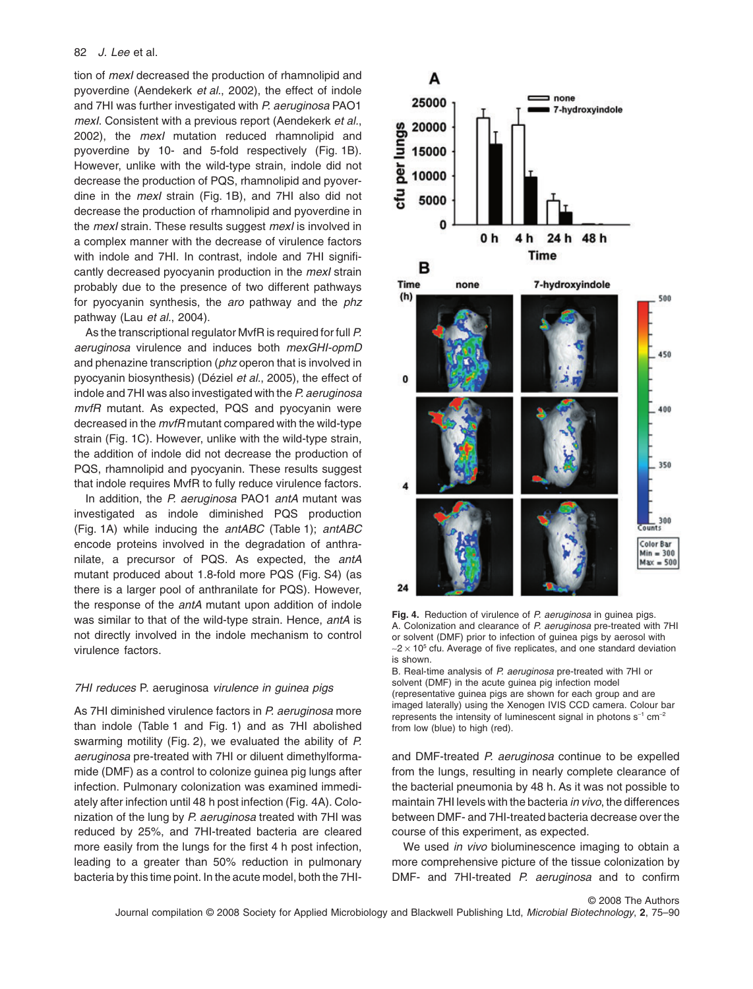tion of *mexI* decreased the production of rhamnolipid and pyoverdine (Aendekerk *et al.*, 2002), the effect of indole and 7HI was further investigated with *P. aeruginosa* PAO1 *mexI*. Consistent with a previous report (Aendekerk *et al.*, 2002), the *mexI* mutation reduced rhamnolipid and pyoverdine by 10- and 5-fold respectively (Fig. 1B). However, unlike with the wild-type strain, indole did not decrease the production of PQS, rhamnolipid and pyoverdine in the *mexI* strain (Fig. 1B), and 7HI also did not decrease the production of rhamnolipid and pyoverdine in the *mexI* strain. These results suggest *mexI* is involved in a complex manner with the decrease of virulence factors with indole and 7HI. In contrast, indole and 7HI significantly decreased pyocyanin production in the *mexI* strain probably due to the presence of two different pathways for pyocyanin synthesis, the *aro* pathway and the *phz* pathway (Lau *et al.*, 2004).

As the transcriptional regulator MvfR is required for full *P. aeruginosa* virulence and induces both *mexGHI-opmD* and phenazine transcription (*phz* operon that is involved in pyocyanin biosynthesis) (Déziel *et al.*, 2005), the effect of indole and 7HI was also investigated with the *P. aeruginosa mvfR* mutant. As expected, PQS and pyocyanin were decreased in the *mvfR* mutant compared with the wild-type strain (Fig. 1C). However, unlike with the wild-type strain, the addition of indole did not decrease the production of PQS, rhamnolipid and pyocyanin. These results suggest that indole requires MvfR to fully reduce virulence factors.

In addition, the *P. aeruginosa* PAO1 *antA* mutant was investigated as indole diminished PQS production (Fig. 1A) while inducing the *antABC* (Table 1); *antABC* encode proteins involved in the degradation of anthranilate, a precursor of PQS. As expected, the *antA* mutant produced about 1.8-fold more PQS (Fig. S4) (as there is a larger pool of anthranilate for PQS). However, the response of the *antA* mutant upon addition of indole was similar to that of the wild-type strain. Hence, *antA* is not directly involved in the indole mechanism to control virulence factors.

#### *7HI reduces* P. aeruginosa *virulence in guinea pigs*

As 7HI diminished virulence factors in *P. aeruginosa* more than indole (Table 1 and Fig. 1) and as 7HI abolished swarming motility (Fig. 2), we evaluated the ability of *P. aeruginosa* pre-treated with 7HI or diluent dimethylformamide (DMF) as a control to colonize guinea pig lungs after infection. Pulmonary colonization was examined immediately after infection until 48 h post infection (Fig. 4A). Colonization of the lung by *P. aeruginosa* treated with 7HI was reduced by 25%, and 7HI-treated bacteria are cleared more easily from the lungs for the first 4 h post infection, leading to a greater than 50% reduction in pulmonary bacteria by this time point. In the acute model, both the 7HI-



**Fig. 4.** Reduction of virulence of *P. aeruginosa* in guinea pigs. A. Colonization and clearance of *P. aeruginosa* pre-treated with 7HI or solvent (DMF) prior to infection of guinea pigs by aerosol with  $\sim$ 2  $\times$  10<sup>5</sup> cfu. Average of five replicates, and one standard deviation is shown.

B. Real-time analysis of *P. aeruginosa* pre-treated with 7HI or solvent (DMF) in the acute guinea pig infection model (representative guinea pigs are shown for each group and are imaged laterally) using the Xenogen IVIS CCD camera. Colour bar represents the intensity of luminescent signal in photons  $s^{-1}$  cm<sup>-2</sup> from low (blue) to high (red).

and DMF-treated *P. aeruginosa* continue to be expelled from the lungs, resulting in nearly complete clearance of the bacterial pneumonia by 48 h. As it was not possible to maintain 7HI levels with the bacteria *in vivo*, the differences between DMF- and 7HI-treated bacteria decrease over the course of this experiment, as expected.

We used *in vivo* bioluminescence imaging to obtain a more comprehensive picture of the tissue colonization by DMF- and 7HI-treated *P. aeruginosa* and to confirm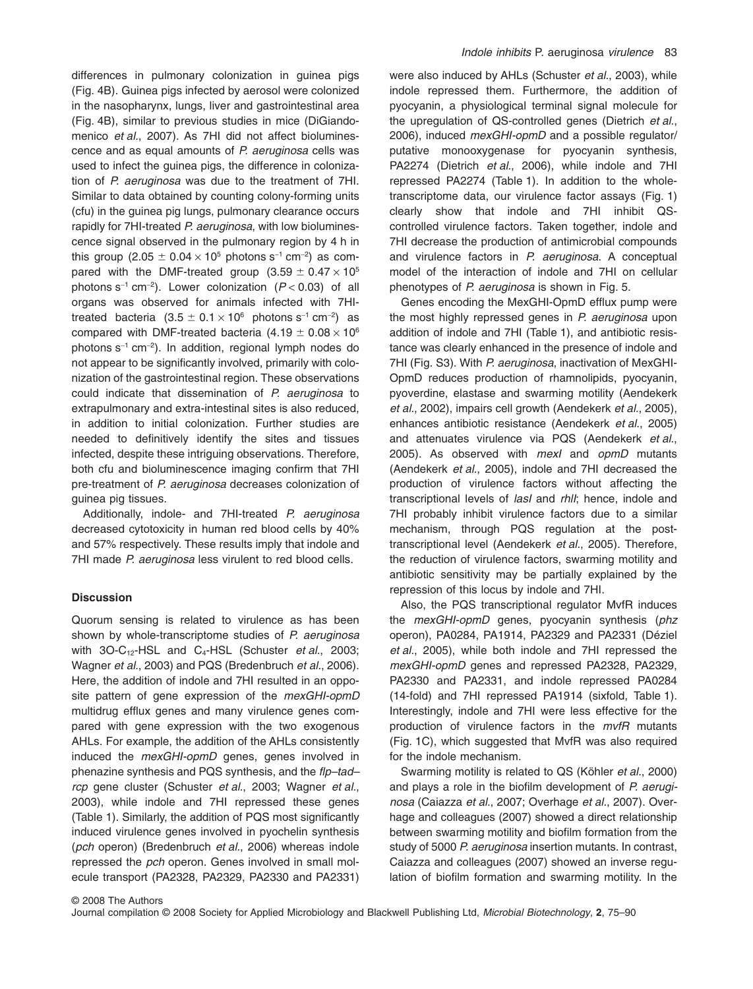differences in pulmonary colonization in guinea pigs (Fig. 4B). Guinea pigs infected by aerosol were colonized in the nasopharynx, lungs, liver and gastrointestinal area (Fig. 4B), similar to previous studies in mice (DiGiandomenico *et al.*, 2007). As 7HI did not affect bioluminescence and as equal amounts of *P. aeruginosa* cells was used to infect the guinea pigs, the difference in colonization of *P. aeruginosa* was due to the treatment of 7HI. Similar to data obtained by counting colony-forming units (cfu) in the guinea pig lungs, pulmonary clearance occurs rapidly for 7HI-treated *P. aeruginosa*, with low bioluminescence signal observed in the pulmonary region by 4 h in this group (2.05  $\pm$  0.04  $\times$  10 $^{5}$  photons s $^{-1}$  cm $^{-2})$  as compared with the DMF-treated group  $(3.59 \pm 0.47 \times 10^{5}$ photons s-<sup>1</sup> cm-<sup>2</sup> ). Lower colonization (*P* < 0.03) of all organs was observed for animals infected with 7HItreated bacteria (3.5  $\pm$  0.1  $\times$  10 $^{\rm 6}$  photons s $^{\rm -1}$  cm $^{\rm -2)}$  as compared with DMF-treated bacteria (4.19  $\pm$  0.08  $\times$  10 $^{\rm 6}$ photons s<sup>-1</sup> cm<sup>-2</sup>). In addition, regional lymph nodes do not appear to be significantly involved, primarily with colonization of the gastrointestinal region. These observations could indicate that dissemination of *P. aeruginosa* to extrapulmonary and extra-intestinal sites is also reduced, in addition to initial colonization. Further studies are needed to definitively identify the sites and tissues infected, despite these intriguing observations. Therefore, both cfu and bioluminescence imaging confirm that 7HI pre-treatment of *P. aeruginosa* decreases colonization of guinea pig tissues.

Additionally, indole- and 7HI-treated *P. aeruginosa* decreased cytotoxicity in human red blood cells by 40% and 57% respectively. These results imply that indole and 7HI made *P. aeruginosa* less virulent to red blood cells.

## **Discussion**

Quorum sensing is related to virulence as has been shown by whole-transcriptome studies of *P. aeruginosa* with 3O-C<sub>12</sub>-HSL and C<sub>4</sub>-HSL (Schuster *et al.*, 2003; Wagner *et al.*, 2003) and PQS (Bredenbruch *et al.*, 2006). Here, the addition of indole and 7HI resulted in an opposite pattern of gene expression of the *mexGHI-opmD* multidrug efflux genes and many virulence genes compared with gene expression with the two exogenous AHLs. For example, the addition of the AHLs consistently induced the *mexGHI-opmD* genes, genes involved in phenazine synthesis and PQS synthesis, and the *flp–tad– rcp* gene cluster (Schuster *et al.*, 2003; Wagner *et al.*, 2003), while indole and 7HI repressed these genes (Table 1). Similarly, the addition of PQS most significantly induced virulence genes involved in pyochelin synthesis (*pch* operon) (Bredenbruch *et al.*, 2006) whereas indole repressed the *pch* operon. Genes involved in small molecule transport (PA2328, PA2329, PA2330 and PA2331)

were also induced by AHLs (Schuster *et al.*, 2003), while indole repressed them. Furthermore, the addition of pyocyanin, a physiological terminal signal molecule for the upregulation of QS-controlled genes (Dietrich *et al.*, 2006), induced *mexGHI-opmD* and a possible regulator/ putative monooxygenase for pyocyanin synthesis, PA2274 (Dietrich *et al.*, 2006), while indole and 7HI repressed PA2274 (Table 1). In addition to the wholetranscriptome data, our virulence factor assays (Fig. 1) clearly show that indole and 7HI inhibit QScontrolled virulence factors. Taken together, indole and 7HI decrease the production of antimicrobial compounds and virulence factors in *P. aeruginosa*. A conceptual model of the interaction of indole and 7HI on cellular phenotypes of *P. aeruginosa* is shown in Fig. 5.

Genes encoding the MexGHI-OpmD efflux pump were the most highly repressed genes in *P. aeruginosa* upon addition of indole and 7HI (Table 1), and antibiotic resistance was clearly enhanced in the presence of indole and 7HI (Fig. S3). With *P. aeruginosa*, inactivation of MexGHI-OpmD reduces production of rhamnolipids, pyocyanin, pyoverdine, elastase and swarming motility (Aendekerk *et al.*, 2002), impairs cell growth (Aendekerk *et al.*, 2005), enhances antibiotic resistance (Aendekerk *et al.*, 2005) and attenuates virulence via PQS (Aendekerk *et al.*, 2005). As observed with *mexI* and *opmD* mutants (Aendekerk *et al.*, 2005), indole and 7HI decreased the production of virulence factors without affecting the transcriptional levels of *lasI* and *rhlI*; hence, indole and 7HI probably inhibit virulence factors due to a similar mechanism, through PQS regulation at the posttranscriptional level (Aendekerk *et al.*, 2005). Therefore, the reduction of virulence factors, swarming motility and antibiotic sensitivity may be partially explained by the repression of this locus by indole and 7HI.

Also, the PQS transcriptional regulator MvfR induces the *mexGHI-opmD* genes, pyocyanin synthesis (*phz* operon), PA0284, PA1914, PA2329 and PA2331 (Déziel *et al.*, 2005), while both indole and 7HI repressed the *mexGHI-opmD* genes and repressed PA2328, PA2329, PA2330 and PA2331, and indole repressed PA0284 (14-fold) and 7HI repressed PA1914 (sixfold, Table 1). Interestingly, indole and 7HI were less effective for the production of virulence factors in the *mvfR* mutants (Fig. 1C), which suggested that MvfR was also required for the indole mechanism.

Swarming motility is related to QS (Köhler *et al.*, 2000) and plays a role in the biofilm development of *P. aeruginosa* (Caiazza *et al.*, 2007; Overhage *et al.*, 2007). Overhage and colleagues (2007) showed a direct relationship between swarming motility and biofilm formation from the study of 5000 *P. aeruginosa* insertion mutants. In contrast, Caiazza and colleagues (2007) showed an inverse regulation of biofilm formation and swarming motility. In the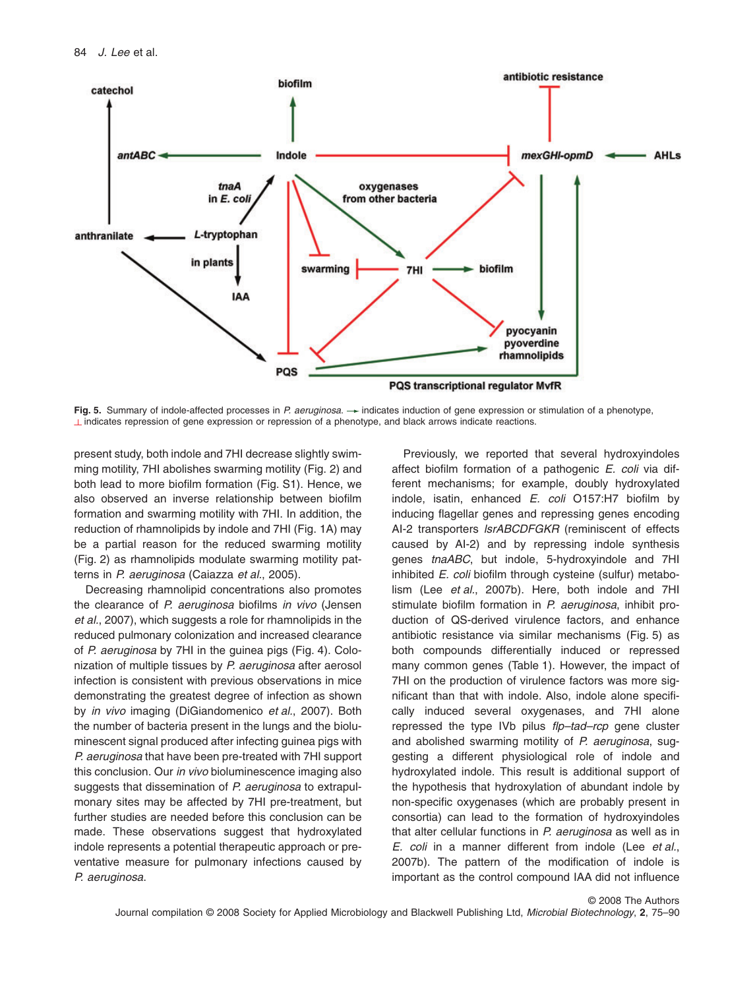

**Fig. 5.** Summary of indole-affected processes in *P. aeruginosa.*  $\rightarrow$  indicates induction of gene expression or stimulation of a phenotype.  $\perp$  indicates repression of gene expression or repression of a phenotype, and black arrows indicate reactions.

present study, both indole and 7HI decrease slightly swimming motility, 7HI abolishes swarming motility (Fig. 2) and both lead to more biofilm formation (Fig. S1). Hence, we also observed an inverse relationship between biofilm formation and swarming motility with 7HI. In addition, the reduction of rhamnolipids by indole and 7HI (Fig. 1A) may be a partial reason for the reduced swarming motility (Fig. 2) as rhamnolipids modulate swarming motility patterns in *P. aeruginosa* (Caiazza *et al.*, 2005).

Decreasing rhamnolipid concentrations also promotes the clearance of *P. aeruginosa* biofilms *in vivo* (Jensen *et al.*, 2007), which suggests a role for rhamnolipids in the reduced pulmonary colonization and increased clearance of *P. aeruginosa* by 7HI in the guinea pigs (Fig. 4). Colonization of multiple tissues by *P. aeruginosa* after aerosol infection is consistent with previous observations in mice demonstrating the greatest degree of infection as shown by *in vivo* imaging (DiGiandomenico *et al.*, 2007). Both the number of bacteria present in the lungs and the bioluminescent signal produced after infecting guinea pigs with *P. aeruginosa* that have been pre-treated with 7HI support this conclusion. Our *in vivo* bioluminescence imaging also suggests that dissemination of *P. aeruginosa* to extrapulmonary sites may be affected by 7HI pre-treatment, but further studies are needed before this conclusion can be made. These observations suggest that hydroxylated indole represents a potential therapeutic approach or preventative measure for pulmonary infections caused by *P. aeruginosa*.

Previously, we reported that several hydroxyindoles affect biofilm formation of a pathogenic *E. coli* via different mechanisms; for example, doubly hydroxylated indole, isatin, enhanced *E. coli* O157:H7 biofilm by inducing flagellar genes and repressing genes encoding AI-2 transporters *lsrABCDFGKR* (reminiscent of effects caused by AI-2) and by repressing indole synthesis genes *tnaABC*, but indole, 5-hydroxyindole and 7HI inhibited *E. coli* biofilm through cysteine (sulfur) metabolism (Lee *et al.*, 2007b). Here, both indole and 7HI stimulate biofilm formation in *P. aeruginosa*, inhibit production of QS-derived virulence factors, and enhance antibiotic resistance via similar mechanisms (Fig. 5) as both compounds differentially induced or repressed many common genes (Table 1). However, the impact of 7HI on the production of virulence factors was more significant than that with indole. Also, indole alone specifically induced several oxygenases, and 7HI alone repressed the type IVb pilus *flp–tad–rcp* gene cluster and abolished swarming motility of *P. aeruginosa*, suggesting a different physiological role of indole and hydroxylated indole. This result is additional support of the hypothesis that hydroxylation of abundant indole by non-specific oxygenases (which are probably present in consortia) can lead to the formation of hydroxyindoles that alter cellular functions in *P. aeruginosa* as well as in *E. coli* in a manner different from indole (Lee *et al.*, 2007b). The pattern of the modification of indole is important as the control compound IAA did not influence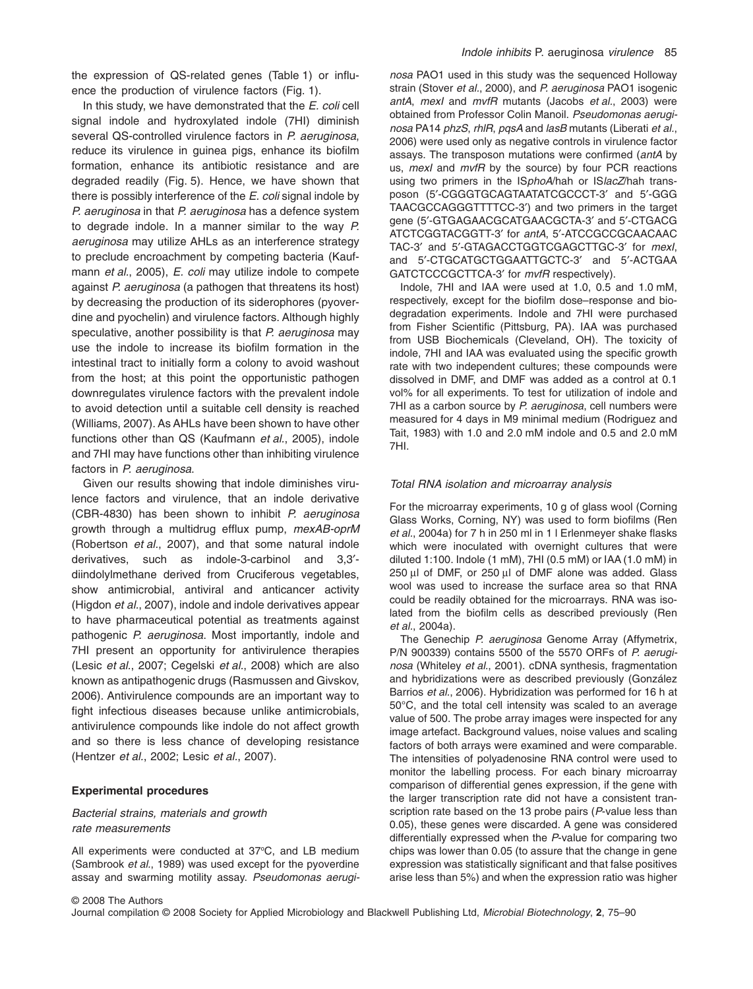the expression of QS-related genes (Table 1) or influence the production of virulence factors (Fig. 1).

In this study, we have demonstrated that the *E. coli* cell signal indole and hydroxylated indole (7HI) diminish several QS-controlled virulence factors in *P. aeruginosa*, reduce its virulence in guinea pigs, enhance its biofilm formation, enhance its antibiotic resistance and are degraded readily (Fig. 5). Hence, we have shown that there is possibly interference of the *E. coli* signal indole by *P. aeruginosa* in that *P. aeruginosa* has a defence system to degrade indole. In a manner similar to the way *P. aeruginosa* may utilize AHLs as an interference strategy to preclude encroachment by competing bacteria (Kaufmann *et al.*, 2005), *E. coli* may utilize indole to compete against *P. aeruginosa* (a pathogen that threatens its host) by decreasing the production of its siderophores (pyoverdine and pyochelin) and virulence factors. Although highly speculative, another possibility is that *P. aeruginosa* may use the indole to increase its biofilm formation in the intestinal tract to initially form a colony to avoid washout from the host; at this point the opportunistic pathogen downregulates virulence factors with the prevalent indole to avoid detection until a suitable cell density is reached (Williams, 2007). As AHLs have been shown to have other functions other than QS (Kaufmann *et al.*, 2005), indole and 7HI may have functions other than inhibiting virulence factors in *P. aeruginosa*.

Given our results showing that indole diminishes virulence factors and virulence, that an indole derivative (CBR-4830) has been shown to inhibit *P. aeruginosa* growth through a multidrug efflux pump, *mexAB-oprM* (Robertson *et al.*, 2007), and that some natural indole derivatives, such as indole-3-carbinol and 3,3′ diindolylmethane derived from Cruciferous vegetables, show antimicrobial, antiviral and anticancer activity (Higdon *et al.*, 2007), indole and indole derivatives appear to have pharmaceutical potential as treatments against pathogenic *P. aeruginosa*. Most importantly, indole and 7HI present an opportunity for antivirulence therapies (Lesic *et al.*, 2007; Cegelski *et al.*, 2008) which are also known as antipathogenic drugs (Rasmussen and Givskov, 2006). Antivirulence compounds are an important way to fight infectious diseases because unlike antimicrobials, antivirulence compounds like indole do not affect growth and so there is less chance of developing resistance (Hentzer *et al.*, 2002; Lesic *et al.*, 2007).

# **Experimental procedures**

# *Bacterial strains, materials and growth rate measurements*

All experiments were conducted at 37°C, and LB medium (Sambrook *et al.*, 1989) was used except for the pyoverdine assay and swarming motility assay. *Pseudomonas aerugi-* *nosa* PAO1 used in this study was the sequenced Holloway strain (Stover *et al.*, 2000), and *P. aeruginosa* PAO1 isogenic *antA*, *mexI* and *mvfR* mutants (Jacobs *et al.*, 2003) were obtained from Professor Colin Manoil. *Pseudomonas aeruginosa* PA14 *phzS*, *rhlR*, *pqsA* and *lasB* mutants (Liberati *et al.*, 2006) were used only as negative controls in virulence factor assays. The transposon mutations were confirmed (*antA* by us, *mexI* and *mvfR* by the source) by four PCR reactions using two primers in the IS*phoA*/hah or IS*lacZ*/hah transposon (5′-CGGGTGCAGTAATATCGCCCT-3′ and 5′-GGG TAACGCCAGGGTTTTCC-3′) and two primers in the target gene (5′-GTGAGAACGCATGAACGCTA-3′ and 5′-CTGACG ATCTCGGTACGGTT-3′ for *antA*, 5′-ATCCGCCGCAACAAC TAC-3′ and 5′-GTAGACCTGGTCGAGCTTGC-3′ for *mexI*, and 5′-CTGCATGCTGGAATTGCTC-3′ and 5′-ACTGAA GATCTCCCGCTTCA-3′ for *mvfR* respectively).

Indole, 7HI and IAA were used at 1.0, 0.5 and 1.0 mM, respectively, except for the biofilm dose–response and biodegradation experiments. Indole and 7HI were purchased from Fisher Scientific (Pittsburg, PA). IAA was purchased from USB Biochemicals (Cleveland, OH). The toxicity of indole, 7HI and IAA was evaluated using the specific growth rate with two independent cultures; these compounds were dissolved in DMF, and DMF was added as a control at 0.1 vol% for all experiments. To test for utilization of indole and 7HI as a carbon source by *P. aeruginosa*, cell numbers were measured for 4 days in M9 minimal medium (Rodriguez and Tait, 1983) with 1.0 and 2.0 mM indole and 0.5 and 2.0 mM 7HI.

#### *Total RNA isolation and microarray analysis*

For the microarray experiments, 10 g of glass wool (Corning Glass Works, Corning, NY) was used to form biofilms (Ren *et al.*, 2004a) for 7 h in 250 ml in 1 l Erlenmeyer shake flasks which were inoculated with overnight cultures that were diluted 1:100. Indole (1 mM), 7HI (0.5 mM) or IAA (1.0 mM) in  $250 \mu$ l of DMF, or  $250 \mu$ l of DMF alone was added. Glass wool was used to increase the surface area so that RNA could be readily obtained for the microarrays. RNA was isolated from the biofilm cells as described previously (Ren *et al.*, 2004a).

The Genechip *P. aeruginosa* Genome Array (Affymetrix, P/N 900339) contains 5500 of the 5570 ORFs of *P. aeruginosa* (Whiteley *et al.*, 2001). cDNA synthesis, fragmentation and hybridizations were as described previously (González Barrios *et al.*, 2006). Hybridization was performed for 16 h at 50°C, and the total cell intensity was scaled to an average value of 500. The probe array images were inspected for any image artefact. Background values, noise values and scaling factors of both arrays were examined and were comparable. The intensities of polyadenosine RNA control were used to monitor the labelling process. For each binary microarray comparison of differential genes expression, if the gene with the larger transcription rate did not have a consistent transcription rate based on the 13 probe pairs (*P*-value less than 0.05), these genes were discarded. A gene was considered differentially expressed when the *P*-value for comparing two chips was lower than 0.05 (to assure that the change in gene expression was statistically significant and that false positives arise less than 5%) and when the expression ratio was higher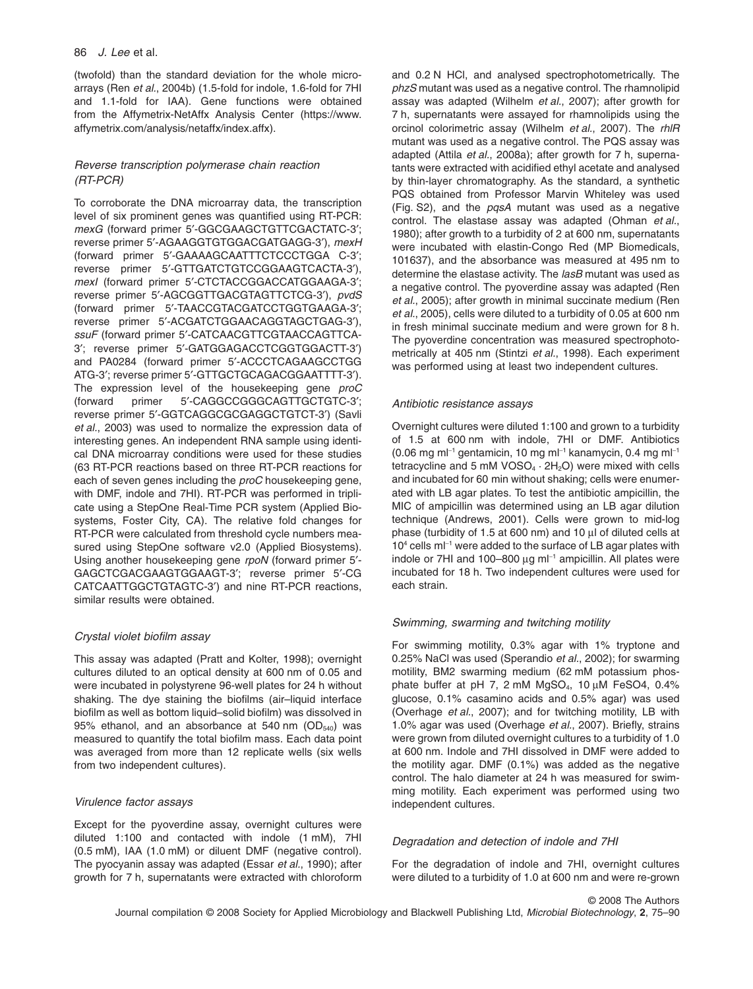(twofold) than the standard deviation for the whole microarrays (Ren *et al.*, 2004b) (1.5-fold for indole, 1.6-fold for 7HI and 1.1-fold for IAA). Gene functions were obtained from the Affymetrix-NetAffx Analysis Center [\(https://www.](https://www.affymetrix.com/analysis/netaffx/index.affx) [affymetrix.com/analysis/netaffx/index.affx\).](https://www.affymetrix.com/analysis/netaffx/index.affx)

# *Reverse transcription polymerase chain reaction (RT-PCR)*

To corroborate the DNA microarray data, the transcription level of six prominent genes was quantified using RT-PCR: *mexG* (forward primer 5′-GGCGAAGCTGTTCGACTATC-3′; reverse primer 5′-AGAAGGTGTGGACGATGAGG-3′), *mexH* (forward primer 5′-GAAAAGCAATTTCTCCCTGGA C-3′; reverse primer 5′-GTTGATCTGTCCGGAAGTCACTA-3′), *mexI* (forward primer 5′-CTCTACCGGACCATGGAAGA-3′; reverse primer 5′-AGCGGTTGACGTAGTTCTCG-3′), *pvdS* (forward primer 5′-TAACCGTACGATCCTGGTGAAGA-3′; reverse primer 5′-ACGATCTGGAACAGGTAGCTGAG-3′), *ssuF* (forward primer 5′-CATCAACGTTCGTAACCAGTTCA-3′; reverse primer 5′-GATGGAGACCTCGGTGGACTT-3′) and PA0284 (forward primer 5′-ACCCTCAGAAGCCTGG ATG-3′; reverse primer 5′-GTTGCTGCAGACGGAATTTT-3′). The expression level of the housekeeping gene *proC* (forward primer 5′-CAGGCCGGGCAGTTGCTGTC-3′; reverse primer 5′-GGTCAGGCGCGAGGCTGTCT-3′) (Savli *et al.*, 2003) was used to normalize the expression data of interesting genes. An independent RNA sample using identical DNA microarray conditions were used for these studies (63 RT-PCR reactions based on three RT-PCR reactions for each of seven genes including the *proC* housekeeping gene, with DMF, indole and 7HI). RT-PCR was performed in triplicate using a StepOne Real-Time PCR system (Applied Biosystems, Foster City, CA). The relative fold changes for RT-PCR were calculated from threshold cycle numbers measured using StepOne software v2.0 (Applied Biosystems). Using another housekeeping gene *rpoN* (forward primer 5′- GAGCTCGACGAAGTGGAAGT-3′; reverse primer 5′-CG CATCAATTGGCTGTAGTC-3′) and nine RT-PCR reactions, similar results were obtained.

## *Crystal violet biofilm assay*

This assay was adapted (Pratt and Kolter, 1998); overnight cultures diluted to an optical density at 600 nm of 0.05 and were incubated in polystyrene 96-well plates for 24 h without shaking. The dye staining the biofilms (air–liquid interface biofilm as well as bottom liquid–solid biofilm) was dissolved in 95% ethanol, and an absorbance at 540 nm  $(OD<sub>540</sub>)$  was measured to quantify the total biofilm mass. Each data point was averaged from more than 12 replicate wells (six wells from two independent cultures).

# *Virulence factor assays*

Except for the pyoverdine assay, overnight cultures were diluted 1:100 and contacted with indole (1 mM), 7HI (0.5 mM), IAA (1.0 mM) or diluent DMF (negative control). The pyocyanin assay was adapted (Essar *et al.*, 1990); after growth for 7 h, supernatants were extracted with chloroform

and 0.2 N HCl, and analysed spectrophotometrically. The *phzS* mutant was used as a negative control. The rhamnolipid assay was adapted (Wilhelm *et al.*, 2007); after growth for 7 h, supernatants were assayed for rhamnolipids using the orcinol colorimetric assay (Wilhelm *et al.*, 2007). The *rhlR* mutant was used as a negative control. The PQS assay was adapted (Attila *et al.*, 2008a); after growth for 7 h, supernatants were extracted with acidified ethyl acetate and analysed by thin-layer chromatography. As the standard, a synthetic PQS obtained from Professor Marvin Whiteley was used (Fig. S2), and the *pqsA* mutant was used as a negative control. The elastase assay was adapted (Ohman *et al.*, 1980); after growth to a turbidity of 2 at 600 nm, supernatants were incubated with elastin-Congo Red (MP Biomedicals, 101637), and the absorbance was measured at 495 nm to determine the elastase activity. The *lasB* mutant was used as a negative control. The pyoverdine assay was adapted (Ren *et al.*, 2005); after growth in minimal succinate medium (Ren *et al.*, 2005), cells were diluted to a turbidity of 0.05 at 600 nm in fresh minimal succinate medium and were grown for 8 h. The pyoverdine concentration was measured spectrophotometrically at 405 nm (Stintzi *et al.*, 1998). Each experiment was performed using at least two independent cultures.

#### *Antibiotic resistance assays*

Overnight cultures were diluted 1:100 and grown to a turbidity of 1.5 at 600 nm with indole, 7HI or DMF. Antibiotics  $(0.06 \text{ mg m}^{-1})$  gentamicin, 10 mg m $^{-1}$  kanamycin, 0.4 mg m $^{-1}$ tetracycline and 5 mM VOSO $_4$   $\cdot$  2H<sub>2</sub>O) were mixed with cells and incubated for 60 min without shaking; cells were enumerated with LB agar plates. To test the antibiotic ampicillin, the MIC of ampicillin was determined using an LB agar dilution technique (Andrews, 2001). Cells were grown to mid-log phase (turbidity of 1.5 at 600 nm) and 10  $\mu$ l of diluted cells at  $10<sup>4</sup>$  cells m $I<sup>-1</sup>$  were added to the surface of LB agar plates with indole or 7HI and 100–800  $\mu$ g m $\vert$ <sup>-1</sup> ampicillin. All plates were incubated for 18 h. Two independent cultures were used for each strain.

## *Swimming, swarming and twitching motility*

For swimming motility, 0.3% agar with 1% tryptone and 0.25% NaCl was used (Sperandio *et al.*, 2002); for swarming motility, BM2 swarming medium (62 mM potassium phosphate buffer at pH 7, 2 mM  $MgSO<sub>4</sub>$ , 10  $\mu$ M FeSO4, 0.4% glucose, 0.1% casamino acids and 0.5% agar) was used (Overhage *et al.*, 2007); and for twitching motility, LB with 1.0% agar was used (Overhage *et al.*, 2007). Briefly, strains were grown from diluted overnight cultures to a turbidity of 1.0 at 600 nm. Indole and 7HI dissolved in DMF were added to the motility agar. DMF (0.1%) was added as the negative control. The halo diameter at 24 h was measured for swimming motility. Each experiment was performed using two independent cultures.

#### *Degradation and detection of indole and 7HI*

For the degradation of indole and 7HI, overnight cultures were diluted to a turbidity of 1.0 at 600 nm and were re-grown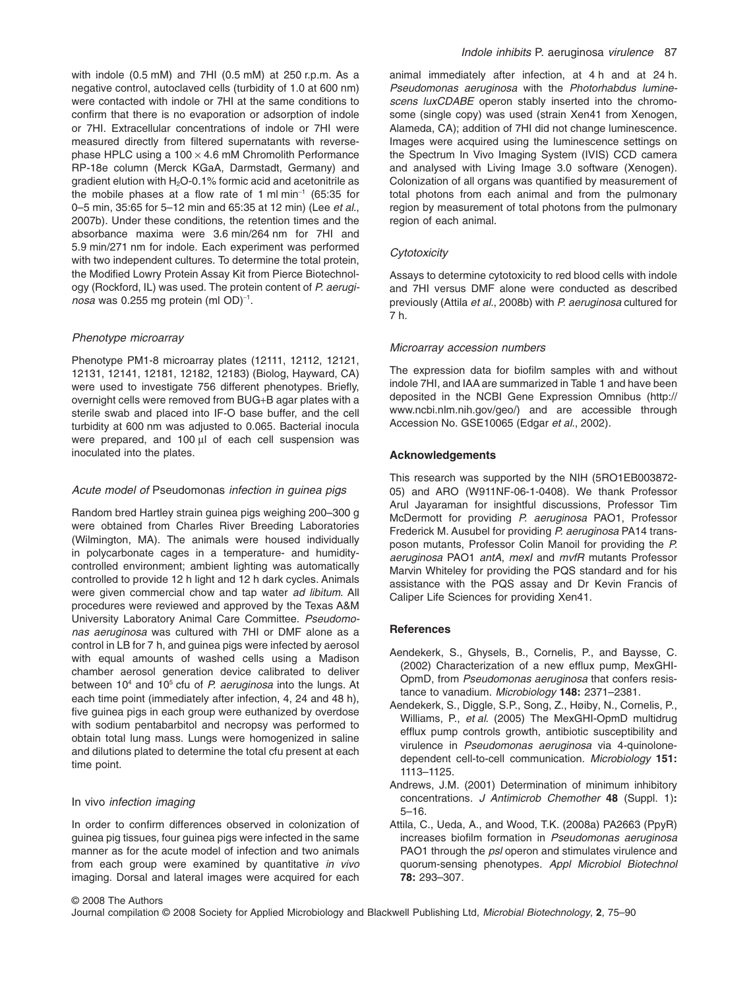with indole (0.5 mM) and 7HI (0.5 mM) at 250 r.p.m. As a negative control, autoclaved cells (turbidity of 1.0 at 600 nm) were contacted with indole or 7HI at the same conditions to confirm that there is no evaporation or adsorption of indole or 7HI. Extracellular concentrations of indole or 7HI were measured directly from filtered supernatants with reversephase HPLC using a  $100 \times 4.6$  mM Chromolith Performance RP-18e column (Merck KGaA, Darmstadt, Germany) and gradient elution with  $H_2O-0.1%$  formic acid and acetonitrile as the mobile phases at a flow rate of 1 ml min<sup>-1</sup> (65:35 for 0–5 min, 35:65 for 5–12 min and 65:35 at 12 min) (Lee *et al.*, 2007b). Under these conditions, the retention times and the absorbance maxima were 3.6 min/264 nm for 7HI and 5.9 min/271 nm for indole. Each experiment was performed with two independent cultures. To determine the total protein, the Modified Lowry Protein Assay Kit from Pierce Biotechnology (Rockford, IL) was used. The protein content of *P. aerugi*nosa was 0.255 mg protein (ml OD)<sup>-1</sup>.

## *Phenotype microarray*

Phenotype PM1-8 microarray plates (12111, 12112, 12121, 12131, 12141, 12181, 12182, 12183) (Biolog, Hayward, CA) were used to investigate 756 different phenotypes. Briefly, overnight cells were removed from BUG+B agar plates with a sterile swab and placed into IF-O base buffer, and the cell turbidity at 600 nm was adjusted to 0.065. Bacterial inocula were prepared, and 100 µl of each cell suspension was inoculated into the plates.

#### *Acute model of* Pseudomonas *infection in guinea pigs*

Random bred Hartley strain guinea pigs weighing 200–300 g were obtained from Charles River Breeding Laboratories (Wilmington, MA). The animals were housed individually in polycarbonate cages in a temperature- and humiditycontrolled environment; ambient lighting was automatically controlled to provide 12 h light and 12 h dark cycles. Animals were given commercial chow and tap water *ad libitum*. All procedures were reviewed and approved by the Texas A&M University Laboratory Animal Care Committee. *Pseudomonas aeruginosa* was cultured with 7HI or DMF alone as a control in LB for 7 h, and guinea pigs were infected by aerosol with equal amounts of washed cells using a Madison chamber aerosol generation device calibrated to deliver between 10<sup>4</sup> and 10<sup>5</sup> cfu of *P. aeruginosa* into the lungs. At each time point (immediately after infection, 4, 24 and 48 h), five guinea pigs in each group were euthanized by overdose with sodium pentabarbitol and necropsy was performed to obtain total lung mass. Lungs were homogenized in saline and dilutions plated to determine the total cfu present at each time point.

#### In vivo *infection imaging*

In order to confirm differences observed in colonization of guinea pig tissues, four guinea pigs were infected in the same manner as for the acute model of infection and two animals from each group were examined by quantitative *in vivo* imaging. Dorsal and lateral images were acquired for each animal immediately after infection, at 4 h and at 24 h. *Pseudomonas aeruginosa* with the *Photorhabdus luminescens luxCDABE* operon stably inserted into the chromosome (single copy) was used (strain Xen41 from Xenogen, Alameda, CA); addition of 7HI did not change luminescence. Images were acquired using the luminescence settings on the Spectrum In Vivo Imaging System (IVIS) CCD camera and analysed with Living Image 3.0 software (Xenogen). Colonization of all organs was quantified by measurement of total photons from each animal and from the pulmonary region by measurement of total photons from the pulmonary region of each animal.

#### *Cytotoxicity*

Assays to determine cytotoxicity to red blood cells with indole and 7HI versus DMF alone were conducted as described previously (Attila *et al.*, 2008b) with *P. aeruginosa* cultured for 7 h.

#### *Microarray accession numbers*

The expression data for biofilm samples with and without indole 7HI, and IAA are summarized in Table 1 and have been deposited in the NCBI Gene Expression Omnibus [\(http://](http://www.ncbi.nlm.nih.gov/geo) [www.ncbi.nlm.nih.gov/geo/\) a](http://www.ncbi.nlm.nih.gov/geo)nd are accessible through Accession No. GSE10065 (Edgar *et al.*, 2002).

# **Acknowledgements**

This research was supported by the NIH (5RO1EB003872- 05) and ARO (W911NF-06-1-0408). We thank Professor Arul Jayaraman for insightful discussions, Professor Tim McDermott for providing *P. aeruginosa* PAO1, Professor Frederick M. Ausubel for providing *P. aeruginosa* PA14 transposon mutants, Professor Colin Manoil for providing the *P. aeruginosa* PAO1 *antA*, *mexI* and *mvfR* mutants Professor Marvin Whiteley for providing the PQS standard and for his assistance with the PQS assay and Dr Kevin Francis of Caliper Life Sciences for providing Xen41.

## **References**

- Aendekerk, S., Ghysels, B., Cornelis, P., and Baysse, C. (2002) Characterization of a new efflux pump, MexGHI-OpmD, from *Pseudomonas aeruginosa* that confers resistance to vanadium. *Microbiology* **148:** 2371–2381.
- Aendekerk, S., Diggle, S.P., Song, Z., Høiby, N., Cornelis, P., Williams, P., *et al*. (2005) The MexGHI-OpmD multidrug efflux pump controls growth, antibiotic susceptibility and virulence in *Pseudomonas aeruginosa* via 4-quinolonedependent cell-to-cell communication. *Microbiology* **151:** 1113–1125.
- Andrews, J.M. (2001) Determination of minimum inhibitory concentrations. *J Antimicrob Chemother* **48** (Suppl. 1)**:** 5–16.
- Attila, C., Ueda, A., and Wood, T.K. (2008a) PA2663 (PpyR) increases biofilm formation in *Pseudomonas aeruginosa* PAO1 through the *psl* operon and stimulates virulence and quorum-sensing phenotypes. *Appl Microbiol Biotechnol* **78:** 293–307.

#### © 2008 The Authors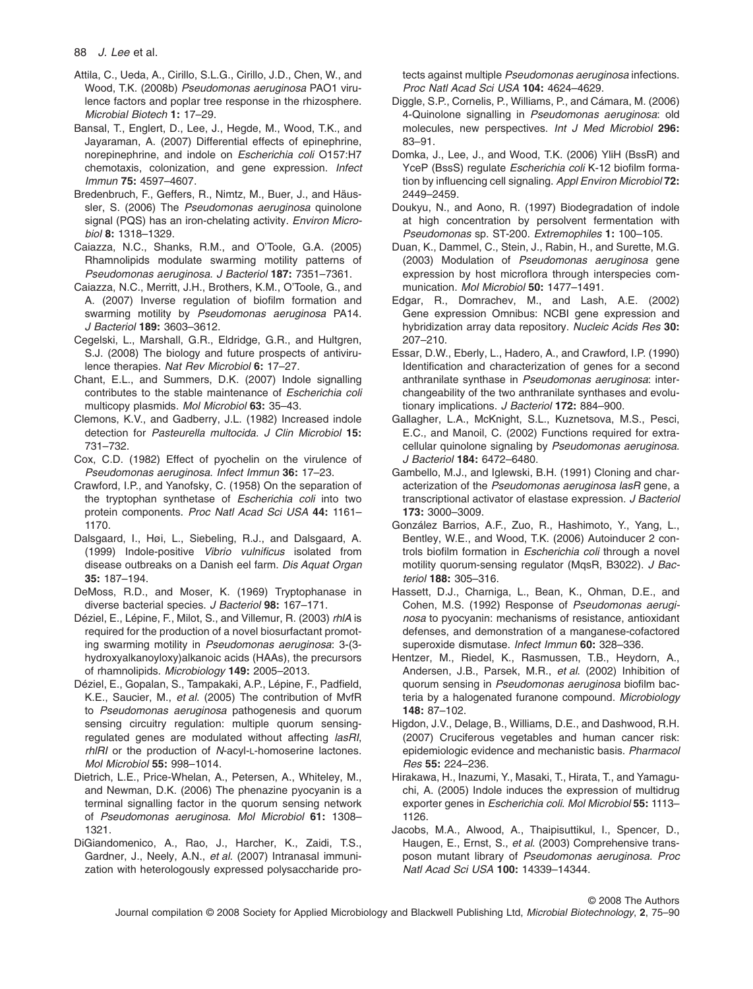- Attila, C., Ueda, A., Cirillo, S.L.G., Cirillo, J.D., Chen, W., and Wood, T.K. (2008b) *Pseudomonas aeruginosa* PAO1 virulence factors and poplar tree response in the rhizosphere. *Microbial Biotech* **1:** 17–29.
- Bansal, T., Englert, D., Lee, J., Hegde, M., Wood, T.K., and Jayaraman, A. (2007) Differential effects of epinephrine, norepinephrine, and indole on *Escherichia coli* O157:H7 chemotaxis, colonization, and gene expression. *Infect Immun* **75:** 4597–4607.
- Bredenbruch, F., Geffers, R., Nimtz, M., Buer, J., and Häussler, S. (2006) The *Pseudomonas aeruginosa* quinolone signal (PQS) has an iron-chelating activity. *Environ Microbiol* **8:** 1318–1329.
- Caiazza, N.C., Shanks, R.M., and O'Toole, G.A. (2005) Rhamnolipids modulate swarming motility patterns of *Pseudomonas aeruginosa*. *J Bacteriol* **187:** 7351–7361.
- Caiazza, N.C., Merritt, J.H., Brothers, K.M., O'Toole, G., and A. (2007) Inverse regulation of biofilm formation and swarming motility by *Pseudomonas aeruginosa* PA14. *J Bacteriol* **189:** 3603–3612.
- Cegelski, L., Marshall, G.R., Eldridge, G.R., and Hultgren, S.J. (2008) The biology and future prospects of antivirulence therapies. *Nat Rev Microbiol* **6:** 17–27.
- Chant, E.L., and Summers, D.K. (2007) Indole signalling contributes to the stable maintenance of *Escherichia coli* multicopy plasmids. *Mol Microbiol* **63:** 35–43.
- Clemons, K.V., and Gadberry, J.L. (1982) Increased indole detection for *Pasteurella multocida*. *J Clin Microbiol* **15:** 731–732.
- Cox, C.D. (1982) Effect of pyochelin on the virulence of *Pseudomonas aeruginosa*. *Infect Immun* **36:** 17–23.
- Crawford, I.P., and Yanofsky, C. (1958) On the separation of the tryptophan synthetase of *Escherichia coli* into two protein components. *Proc Natl Acad Sci USA* **44:** 1161– 1170.
- Dalsgaard, I., Høi, L., Siebeling, R.J., and Dalsgaard, A. (1999) Indole-positive *Vibrio vulnificus* isolated from disease outbreaks on a Danish eel farm. *Dis Aquat Organ* **35:** 187–194.
- DeMoss, R.D., and Moser, K. (1969) Tryptophanase in diverse bacterial species. *J Bacteriol* **98:** 167–171.
- Déziel, E., Lépine, F., Milot, S., and Villemur, R. (2003) *rhlA* is required for the production of a novel biosurfactant promoting swarming motility in *Pseudomonas aeruginosa*: 3-(3 hydroxyalkanoyloxy)alkanoic acids (HAAs), the precursors of rhamnolipids. *Microbiology* **149:** 2005–2013.
- Déziel, E., Gopalan, S., Tampakaki, A.P., Lépine, F., Padfield, K.E., Saucier, M., *et al*. (2005) The contribution of MvfR to *Pseudomonas aeruginosa* pathogenesis and quorum sensing circuitry regulation: multiple quorum sensingregulated genes are modulated without affecting *lasRI*, *rhlRI* or the production of *N*-acyl-L-homoserine lactones. *Mol Microbiol* **55:** 998–1014.
- Dietrich, L.E., Price-Whelan, A., Petersen, A., Whiteley, M., and Newman, D.K. (2006) The phenazine pyocyanin is a terminal signalling factor in the quorum sensing network of *Pseudomonas aeruginosa*. *Mol Microbiol* **61:** 1308– 1321.
- DiGiandomenico, A., Rao, J., Harcher, K., Zaidi, T.S., Gardner, J., Neely, A.N., *et al*. (2007) Intranasal immunization with heterologously expressed polysaccharide pro-

tects against multiple *Pseudomonas aeruginosa* infections. *Proc Natl Acad Sci USA* **104:** 4624–4629.

- Diggle, S.P., Cornelis, P., Williams, P., and Cámara, M. (2006) 4-Quinolone signalling in *Pseudomonas aeruginosa*: old molecules, new perspectives. *Int J Med Microbiol* **296:** 83–91.
- Domka, J., Lee, J., and Wood, T.K. (2006) YliH (BssR) and YceP (BssS) regulate *Escherichia coli* K-12 biofilm formation by influencing cell signaling. *Appl Environ Microbiol* **72:** 2449–2459.
- Doukyu, N., and Aono, R. (1997) Biodegradation of indole at high concentration by persolvent fermentation with *Pseudomonas* sp. ST-200. *Extremophiles* **1:** 100–105.
- Duan, K., Dammel, C., Stein, J., Rabin, H., and Surette, M.G. (2003) Modulation of *Pseudomonas aeruginosa* gene expression by host microflora through interspecies communication. *Mol Microbiol* **50:** 1477–1491.
- Edgar, R., Domrachev, M., and Lash, A.E. (2002) Gene expression Omnibus: NCBI gene expression and hybridization array data repository. *Nucleic Acids Res* **30:** 207–210.
- Essar, D.W., Eberly, L., Hadero, A., and Crawford, I.P. (1990) Identification and characterization of genes for a second anthranilate synthase in *Pseudomonas aeruginosa*: interchangeability of the two anthranilate synthases and evolutionary implications. *J Bacteriol* **172:** 884–900.
- Gallagher, L.A., McKnight, S.L., Kuznetsova, M.S., Pesci, E.C., and Manoil, C. (2002) Functions required for extracellular quinolone signaling by *Pseudomonas aeruginosa*. *J Bacteriol* **184:** 6472–6480.
- Gambello, M.J., and Iglewski, B.H. (1991) Cloning and characterization of the *Pseudomonas aeruginosa lasR* gene, a transcriptional activator of elastase expression. *J Bacteriol* **173:** 3000–3009.
- González Barrios, A.F., Zuo, R., Hashimoto, Y., Yang, L., Bentley, W.E., and Wood, T.K. (2006) Autoinducer 2 controls biofilm formation in *Escherichia coli* through a novel motility quorum-sensing regulator (MqsR, B3022). *J Bacteriol* **188:** 305–316.
- Hassett, D.J., Charniga, L., Bean, K., Ohman, D.E., and Cohen, M.S. (1992) Response of *Pseudomonas aeruginosa* to pyocyanin: mechanisms of resistance, antioxidant defenses, and demonstration of a manganese-cofactored superoxide dismutase. *Infect Immun* **60:** 328–336.
- Hentzer, M., Riedel, K., Rasmussen, T.B., Heydorn, A., Andersen, J.B., Parsek, M.R., *et al*. (2002) Inhibition of quorum sensing in *Pseudomonas aeruginosa* biofilm bacteria by a halogenated furanone compound. *Microbiology* **148:** 87–102.
- Higdon, J.V., Delage, B., Williams, D.E., and Dashwood, R.H. (2007) Cruciferous vegetables and human cancer risk: epidemiologic evidence and mechanistic basis. *Pharmacol Res* **55:** 224–236.
- Hirakawa, H., Inazumi, Y., Masaki, T., Hirata, T., and Yamaguchi, A. (2005) Indole induces the expression of multidrug exporter genes in *Escherichia coli*. *Mol Microbiol* **55:** 1113– 1126.
- Jacobs, M.A., Alwood, A., Thaipisuttikul, I., Spencer, D., Haugen, E., Ernst, S., *et al*. (2003) Comprehensive transposon mutant library of *Pseudomonas aeruginosa*. *Proc Natl Acad Sci USA* **100:** 14339–14344.

© 2008 The Authors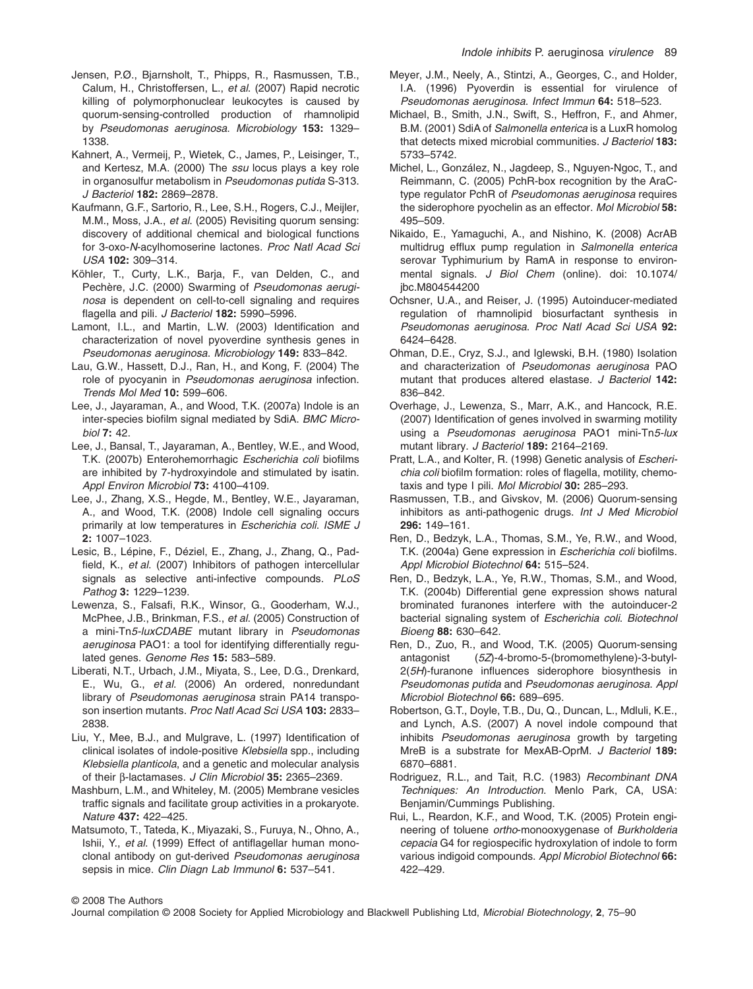- Jensen, P.Ø., Bjarnsholt, T., Phipps, R., Rasmussen, T.B., Calum, H., Christoffersen, L., *et al*. (2007) Rapid necrotic killing of polymorphonuclear leukocytes is caused by quorum-sensing-controlled production of rhamnolipid by *Pseudomonas aeruginosa*. *Microbiology* **153:** 1329– 1338.
- Kahnert, A., Vermeij, P., Wietek, C., James, P., Leisinger, T., and Kertesz, M.A. (2000) The *ssu* locus plays a key role in organosulfur metabolism in *Pseudomonas putida* S-313. *J Bacteriol* **182:** 2869–2878.
- Kaufmann, G.F., Sartorio, R., Lee, S.H., Rogers, C.J., Meijler, M.M., Moss, J.A., *et al*. (2005) Revisiting quorum sensing: discovery of additional chemical and biological functions for 3-oxo-*N*-acylhomoserine lactones. *Proc Natl Acad Sci USA* **102:** 309–314.
- Köhler, T., Curty, L.K., Barja, F., van Delden, C., and Pechère, J.C. (2000) Swarming of *Pseudomonas aeruginosa* is dependent on cell-to-cell signaling and requires flagella and pili. *J Bacteriol* **182:** 5990–5996.
- Lamont, I.L., and Martin, L.W. (2003) Identification and characterization of novel pyoverdine synthesis genes in *Pseudomonas aeruginosa*. *Microbiology* **149:** 833–842.
- Lau, G.W., Hassett, D.J., Ran, H., and Kong, F. (2004) The role of pyocyanin in *Pseudomonas aeruginosa* infection. *Trends Mol Med* **10:** 599–606.
- Lee, J., Jayaraman, A., and Wood, T.K. (2007a) Indole is an inter-species biofilm signal mediated by SdiA. *BMC Microbiol* **7:** 42.
- Lee, J., Bansal, T., Jayaraman, A., Bentley, W.E., and Wood, T.K. (2007b) Enterohemorrhagic *Escherichia coli* biofilms are inhibited by 7-hydroxyindole and stimulated by isatin. *Appl Environ Microbiol* **73:** 4100–4109.
- Lee, J., Zhang, X.S., Hegde, M., Bentley, W.E., Jayaraman, A., and Wood, T.K. (2008) Indole cell signaling occurs primarily at low temperatures in *Escherichia coli*. *ISME J* **2:** 1007–1023.
- Lesic, B., Lépine, F., Déziel, E., Zhang, J., Zhang, Q., Padfield, K., *et al*. (2007) Inhibitors of pathogen intercellular signals as selective anti-infective compounds. *PLoS Pathog* **3:** 1229–1239.
- Lewenza, S., Falsafi, R.K., Winsor, G., Gooderham, W.J., McPhee, J.B., Brinkman, F.S., *et al*. (2005) Construction of a mini-Tn*5-luxCDABE* mutant library in *Pseudomonas aeruginosa* PAO1: a tool for identifying differentially regulated genes. *Genome Res* **15:** 583–589.
- Liberati, N.T., Urbach, J.M., Miyata, S., Lee, D.G., Drenkard, E., Wu, G., *et al*. (2006) An ordered, nonredundant library of *Pseudomonas aeruginosa* strain PA14 transposon insertion mutants. *Proc Natl Acad Sci USA* **103:** 2833– 2838.
- Liu, Y., Mee, B.J., and Mulgrave, L. (1997) Identification of clinical isolates of indole-positive *Klebsiella* spp., including *Klebsiella planticola*, and a genetic and molecular analysis of their b-lactamases. *J Clin Microbiol* **35:** 2365–2369.
- Mashburn, L.M., and Whiteley, M. (2005) Membrane vesicles traffic signals and facilitate group activities in a prokaryote. *Nature* **437:** 422–425.
- Matsumoto, T., Tateda, K., Miyazaki, S., Furuya, N., Ohno, A., Ishii, Y., *et al*. (1999) Effect of antiflagellar human monoclonal antibody on gut-derived *Pseudomonas aeruginosa* sepsis in mice. *Clin Diagn Lab Immunol* **6:** 537–541.
- Meyer, J.M., Neely, A., Stintzi, A., Georges, C., and Holder, I.A. (1996) Pyoverdin is essential for virulence of *Pseudomonas aeruginosa*. *Infect Immun* **64:** 518–523.
- Michael, B., Smith, J.N., Swift, S., Heffron, F., and Ahmer, B.M. (2001) SdiA of *Salmonella enterica* is a LuxR homolog that detects mixed microbial communities. *J Bacteriol* **183:** 5733–5742.
- Michel, L., González, N., Jagdeep, S., Nguyen-Ngoc, T., and Reimmann, C. (2005) PchR-box recognition by the AraCtype regulator PchR of *Pseudomonas aeruginosa* requires the siderophore pyochelin as an effector. *Mol Microbiol* **58:** 495–509.
- Nikaido, E., Yamaguchi, A., and Nishino, K. (2008) AcrAB multidrug efflux pump regulation in *Salmonella enterica* serovar Typhimurium by RamA in response to environmental signals. *J Biol Chem* (online). doi: 10.1074/ jbc.M804544200
- Ochsner, U.A., and Reiser, J. (1995) Autoinducer-mediated regulation of rhamnolipid biosurfactant synthesis in *Pseudomonas aeruginosa*. *Proc Natl Acad Sci USA* **92:** 6424–6428.
- Ohman, D.E., Cryz, S.J., and Iglewski, B.H. (1980) Isolation and characterization of *Pseudomonas aeruginosa* PAO mutant that produces altered elastase. *J Bacteriol* **142:** 836–842.
- Overhage, J., Lewenza, S., Marr, A.K., and Hancock, R.E. (2007) Identification of genes involved in swarming motility using a *Pseudomonas aeruginosa* PAO1 mini-Tn*5-lux* mutant library. *J Bacteriol* **189:** 2164–2169.
- Pratt, L.A., and Kolter, R. (1998) Genetic analysis of *Escherichia coli* biofilm formation: roles of flagella, motility, chemotaxis and type I pili. *Mol Microbiol* **30:** 285–293.
- Rasmussen, T.B., and Givskov, M. (2006) Quorum-sensing inhibitors as anti-pathogenic drugs. *Int J Med Microbiol* **296:** 149–161.
- Ren, D., Bedzyk, L.A., Thomas, S.M., Ye, R.W., and Wood, T.K. (2004a) Gene expression in *Escherichia coli* biofilms. *Appl Microbiol Biotechnol* **64:** 515–524.
- Ren, D., Bedzyk, L.A., Ye, R.W., Thomas, S.M., and Wood, T.K. (2004b) Differential gene expression shows natural brominated furanones interfere with the autoinducer-2 bacterial signaling system of *Escherichia coli*. *Biotechnol Bioeng* **88:** 630–642.
- Ren, D., Zuo, R., and Wood, T.K. (2005) Quorum-sensing antagonist (*5Z*)-4-bromo-5-(bromomethylene)-3-butyl-2(*5H*)-furanone influences siderophore biosynthesis in *Pseudomonas putida* and *Pseudomonas aeruginosa*. *Appl Microbiol Biotechnol* **66:** 689–695.
- Robertson, G.T., Doyle, T.B., Du, Q., Duncan, L., Mdluli, K.E., and Lynch, A.S. (2007) A novel indole compound that inhibits *Pseudomonas aeruginosa* growth by targeting MreB is a substrate for MexAB-OprM. *J Bacteriol* **189:** 6870–6881.
- Rodriguez, R.L., and Tait, R.C. (1983) *Recombinant DNA Techniques: An Introduction*. Menlo Park, CA, USA: Benjamin/Cummings Publishing.
- Rui, L., Reardon, K.F., and Wood, T.K. (2005) Protein engineering of toluene *ortho*-monooxygenase of *Burkholderia cepacia* G4 for regiospecific hydroxylation of indole to form various indigoid compounds. *Appl Microbiol Biotechnol* **66:** 422–429.

© 2008 The Authors